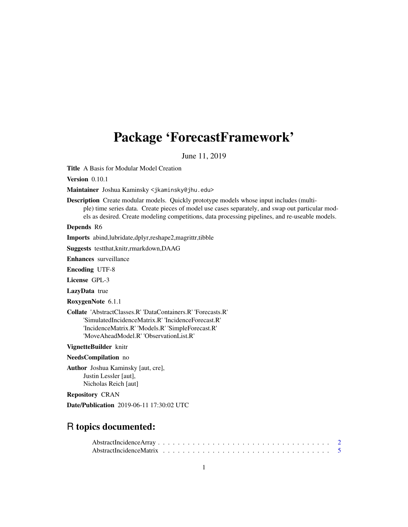# <span id="page-0-0"></span>Package 'ForecastFramework'

June 11, 2019

Title A Basis for Modular Model Creation

**Version** 0.10.1

Maintainer Joshua Kaminsky <jkaminsky@jhu.edu>

Description Create modular models. Quickly prototype models whose input includes (multiple) time series data. Create pieces of model use cases separately, and swap out particular models as desired. Create modeling competitions, data processing pipelines, and re-useable models.

Depends R6

Imports abind,lubridate,dplyr,reshape2,magrittr,tibble

Suggests testthat,knitr,rmarkdown,DAAG

Enhances surveillance

Encoding UTF-8

License GPL-3

LazyData true

RoxygenNote 6.1.1

Collate 'AbstractClasses.R' 'DataContainers.R' 'Forecasts.R' 'SimulatedIncidenceMatrix.R' 'IncidenceForecast.R' 'IncidenceMatrix.R' 'Models.R' 'SimpleForecast.R' 'MoveAheadModel.R' 'ObservationList.R'

VignetteBuilder knitr

#### NeedsCompilation no

Author Joshua Kaminsky [aut, cre], Justin Lessler [aut], Nicholas Reich [aut]

Repository CRAN

Date/Publication 2019-06-11 17:30:02 UTC

## R topics documented: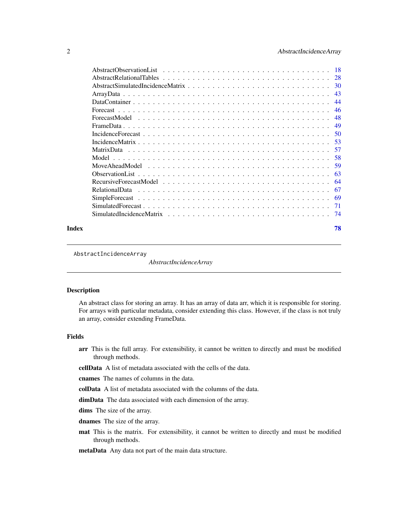<span id="page-1-0"></span>

| -18                                                                                                                                                               |
|-------------------------------------------------------------------------------------------------------------------------------------------------------------------|
| 28                                                                                                                                                                |
| -30                                                                                                                                                               |
| 43                                                                                                                                                                |
| 44                                                                                                                                                                |
| 46                                                                                                                                                                |
| 48                                                                                                                                                                |
|                                                                                                                                                                   |
| -50                                                                                                                                                               |
| .53                                                                                                                                                               |
| -57                                                                                                                                                               |
| -58                                                                                                                                                               |
| -59                                                                                                                                                               |
| Observation List $\ldots \ldots \ldots \ldots \ldots \ldots \ldots \ldots \ldots \ldots \ldots \ldots \ldots$<br>-63                                              |
| -64                                                                                                                                                               |
| -67<br>RelationalData                                                                                                                                             |
| 69                                                                                                                                                                |
| $Simulated Forecast \dots \dots \dots \dots \dots \dots \dots \dots \dots \dots \dots \dots \dots \dots \dots \dots \dots$                                        |
| $Simulated Incidence Matrix$ $\ldots$ $\ldots$ $\ldots$ $\ldots$ $\ldots$ $\ldots$ $\ldots$ $\ldots$ $\ldots$ $\ldots$ $\ldots$ $\ldots$ $\ldots$ $\ldots$<br>-74 |
|                                                                                                                                                                   |

#### **Index 28 April 2018 19:30 The Second Line Control of the Second Line Control of the Second Line Control of the Second Line Control of the Second Line Control of the Second Line Control of the Second Line Control of the Se**

AbstractIncidenceArray

*AbstractIncidenceArray*

## Description

An abstract class for storing an array. It has an array of data arr, which it is responsible for storing. For arrays with particular metadata, consider extending this class. However, if the class is not truly an array, consider extending FrameData.

## Fields

- arr This is the full array. For extensibility, it cannot be written to directly and must be modified through methods.
- cellData A list of metadata associated with the cells of the data.

cnames The names of columns in the data.

- colData A list of metadata associated with the columns of the data.
- dimData The data associated with each dimension of the array.
- dims The size of the array.
- dnames The size of the array.
- mat This is the matrix. For extensibility, it cannot be written to directly and must be modified through methods.
- metaData Any data not part of the main data structure.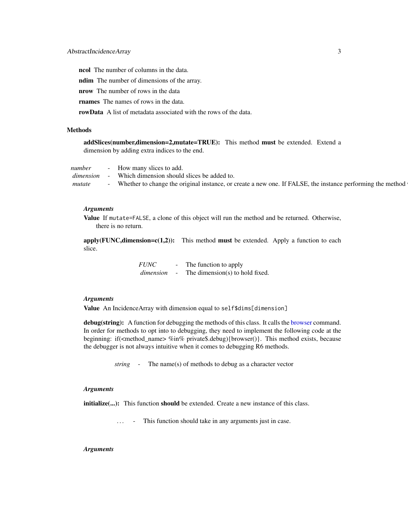ncol The number of columns in the data.

ndim The number of dimensions of the array.

nrow The number of rows in the data

rnames The names of rows in the data.

rowData A list of metadata associated with the rows of the data.

## Methods

addSlices(number,dimension=2,mutate=TRUE): This method must be extended. Extend a dimension by adding extra indices to the end.

| number    | How many slices to add.                                                                                    |  |
|-----------|------------------------------------------------------------------------------------------------------------|--|
| dimension | Which dimension should slices be added to.                                                                 |  |
| mutate    | Whether to change the original instance, or create a new one. If FALSE, the instance performing the method |  |

## *Arguments*

Value If mutate=FALSE, a clone of this object will run the method and be returned. Otherwise, there is no return.

 $apply(FUNC, dimension = c(1,2))$ : This method must be extended. Apply a function to each slice.

> *FUNC* - The function to apply *dimension* - The dimension(s) to hold fixed.

## *Arguments*

Value An IncidenceArray with dimension equal to self\$dims[dimension]

debug(string): A function for debugging the methods of this class. It calls the [browser](#page-0-0) command. In order for methods to opt into to debugging, they need to implement the following code at the beginning: if( $\leq$ method name $\geq \frac{1}{2}$  private\$.debug){browser()}. This method exists, because the debugger is not always intuitive when it comes to debugging R6 methods.

*string* - The name(s) of methods to debug as a character vector

#### *Arguments*

initialize(...): This function should be extended. Create a new instance of this class.

*. . .* - This function should take in any arguments just in case.

## *Arguments*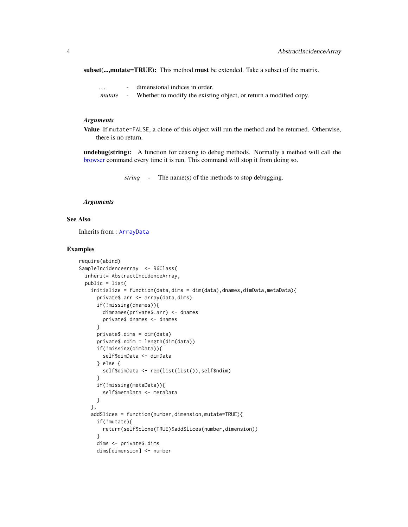subset(...,mutate=TRUE): This method must be extended. Take a subset of the matrix.

*. . .* - dimensional indices in order.

*mutate* - Whether to modify the existing object, or return a modified copy.

## *Arguments*

Value If mutate=FALSE, a clone of this object will run the method and be returned. Otherwise, there is no return.

undebug(string): A function for ceasing to debug methods. Normally a method will call the [browser](#page-0-0) command every time it is run. This command will stop it from doing so.

*string* - The name(s) of the methods to stop debugging.

## *Arguments*

## See Also

Inherits from : [ArrayData](#page-42-1)

```
require(abind)
SampleIncidenceArray <- R6Class(
 inherit= AbstractIncidenceArray,
 public = list(initialize = function(data,dims = dim(data),dnames,dimData,metaData){
     private$.arr <- array(data,dims)
     if(!missing(dnames)){
       dimnames(private$.arr) <- dnames
       private$.dnames <- dnames
     }
     private$.dims = dim(data)
     private$.ndim = length(dim(data))
     if(!missing(dimData)){
       self$dimData <- dimData
     } else {
       self$dimData <- rep(list(list()), self$ndim)
     }
     if(!missing(metaData)){
       self$metaData <- metaData
     }
    },
    addSlices = function(number,dimension,mutate=TRUE){
     if(!mutate){
       return(self$clone(TRUE)$addSlices(number,dimension))
      }
     dims <- private$.dims
     dims[dimension] <- number
```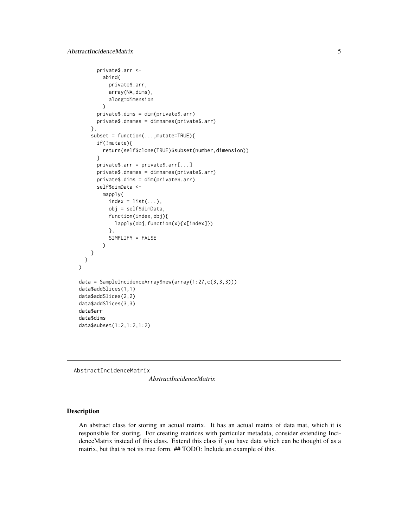```
private$.arr <-
        abind(
          private$.arr,
          array(NA,dims),
          along=dimension
       )
      private$.dims = dim(private$.arr)
      private$.dnames = dimnames(private$.arr)
    },
    subset = function(...,mutate=TRUE){
      if(!mutate){
        return(self$clone(TRUE)$subset(number,dimension))
      }
      private$.arr = private$.arr[...]
      private$.dnames = dimnames(private$.arr)
      private$.dims = dim(private$.arr)
      self$dimData <-
       mapply(
          index = list(...),obj = self$dimData,
          function(index,obj){
            lapply(obj,function(x){x[index]})
          },
          SIMPLIFY = FALSE
       )
   }
 )
\mathcal{L}data = SampleIncidenceArray$new(array(1:27,c(3,3,3)))
data$addSlices(1,1)
data$addSlices(2,2)
data$addSlices(3,3)
data$arr
data$dims
data$subset(1:2,1:2,1:2)
```
AbstractIncidenceMatrix

*AbstractIncidenceMatrix*

## Description

An abstract class for storing an actual matrix. It has an actual matrix of data mat, which it is responsible for storing. For creating matrices with particular metadata, consider extending IncidenceMatrix instead of this class. Extend this class if you have data which can be thought of as a matrix, but that is not its true form. ## TODO: Include an example of this.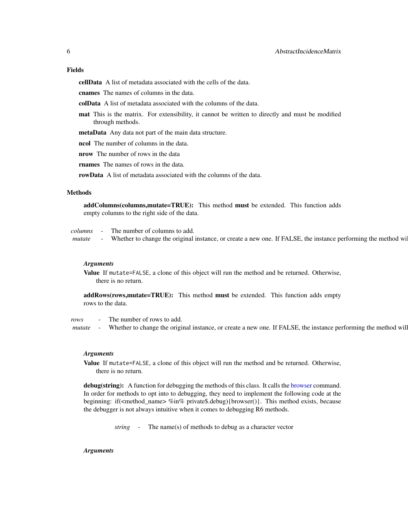#### Fields

cellData A list of metadata associated with the cells of the data.

cnames The names of columns in the data.

colData A list of metadata associated with the columns of the data.

mat This is the matrix. For extensibility, it cannot be written to directly and must be modified through methods.

metaData Any data not part of the main data structure.

ncol The number of columns in the data.

nrow The number of rows in the data

rnames The names of rows in the data.

rowData A list of metadata associated with the columns of the data.

## Methods

addColumns(columns,mutate=TRUE): This method must be extended. This function adds empty columns to the right side of the data.

*columns* - The number of columns to add.

*mutate* - Whether to change the original instance, or create a new one. If FALSE, the instance performing the method wi

## *Arguments*

Value If mutate=FALSE, a clone of this object will run the method and be returned. Otherwise, there is no return.

addRows(rows,mutate=TRUE): This method must be extended. This function adds empty rows to the data.

*rows* - The number of rows to add.

*mutate* - Whether to change the original instance, or create a new one. If FALSE, the instance performing the method will

#### *Arguments*

Value If mutate=FALSE, a clone of this object will run the method and be returned. Otherwise, there is no return.

debug(string): A function for debugging the methods of this class. It calls the [browser](#page-0-0) command. In order for methods to opt into to debugging, they need to implement the following code at the beginning: if(<method\_name> %in% private\$.debug){browser()}. This method exists, because the debugger is not always intuitive when it comes to debugging R6 methods.

*string* - The name(s) of methods to debug as a character vector

## *Arguments*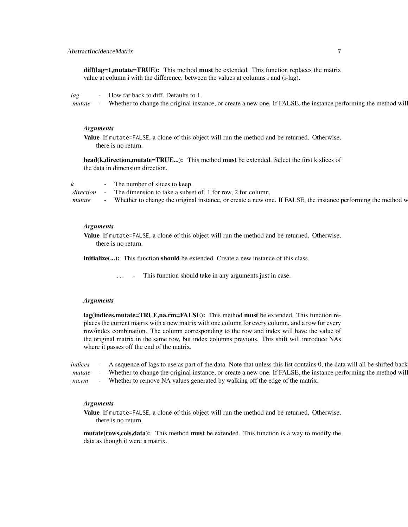## AbstractIncidenceMatrix 7

diff(lag=1,mutate=TRUE): This method must be extended. This function replaces the matrix value at column i with the difference. between the values at columns i and (i-lag).

*lag* - How far back to diff. Defaults to 1.

*mutate* - Whether to change the original instance, or create a new one. If FALSE, the instance performing the method will

## *Arguments*

Value If mutate=FALSE, a clone of this object will run the method and be returned. Otherwise, there is no return.

head(k,direction,mutate=TRUE...): This method must be extended. Select the first k slices of the data in dimension direction.

| The number of slices to keep. |  |
|-------------------------------|--|
|                               |  |

*direction* - The dimension to take a subset of. 1 for row, 2 for column.

*mutate* - Whether to change the original instance, or create a new one. If FALSE, the instance performing the method w

## *Arguments*

Value If mutate=FALSE, a clone of this object will run the method and be returned. Otherwise, there is no return.

initialize(...): This function should be extended. Create a new instance of this class.

*. . .* - This function should take in any arguments just in case.

## *Arguments*

lag(indices,mutate=TRUE,na.rm=FALSE): This method must be extended. This function replaces the current matrix with a new matrix with one column for every column, and a row for every row/index combination. The column corresponding to the row and index will have the value of the original matrix in the same row, but index columns previous. This shift will introduce NAs where it passes off the end of the matrix.

| indices | A sequence of lags to use as part of the data. Note that unless this list contains 0, the data will all be shifted back |
|---------|-------------------------------------------------------------------------------------------------------------------------|
| mutate  | Whether to change the original instance, or create a new one. If FALSE, the instance performing the method will         |
| na.rm   | Whether to remove NA values generated by walking off the edge of the matrix.                                            |

## *Arguments*

Value If mutate=FALSE, a clone of this object will run the method and be returned. Otherwise, there is no return.

mutate(rows,cols,data): This method must be extended. This function is a way to modify the data as though it were a matrix.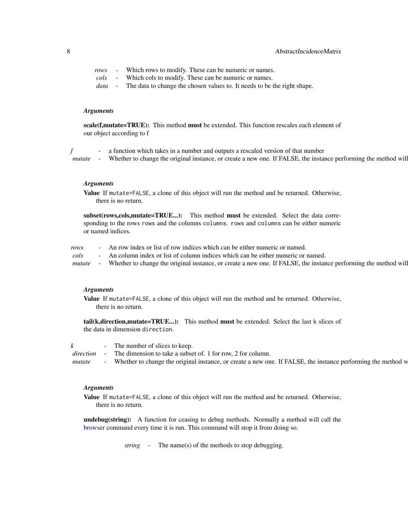| rows | - Which rows to modify. These can be numeric or names.                                 |
|------|----------------------------------------------------------------------------------------|
|      | cols - Which cols to modify. These can be numeric or names.                            |
|      | <i>data</i> - The data to change the chosen values to. It needs to be the right shape. |

## *Arguments*

scale(f,mutate=TRUE): This method must be extended. This function rescales each element of our object according to f

*f* - a function which takes in a number and outputs a rescaled version of that number *mutate* - Whether to change the original instance, or create a new one. If FALSE, the instance performing the method will

#### *Arguments*

Value If mutate=FALSE, a clone of this object will run the method and be returned. Otherwise, there is no return.

subset(rows,cols,mutate=TRUE...): This method must be extended. Select the data corresponding to the rows rows and the columns columns. rows and columns can be either numeric or named indices.

*rows* - An row index or list of row indices which can be either numeric or named.

*cols* - An column index or list of column indices which can be either numeric or named.

*mutate* - Whether to change the original instance, or create a new one. If FALSE, the instance performing the method will

## *Arguments*

Value If mutate=FALSE, a clone of this object will run the method and be returned. Otherwise, there is no return.

tail(k,direction,mutate=TRUE...): This method must be extended. Select the last k slices of the data in dimension direction.

*k* - The number of slices to keep.

*direction* - The dimension to take a subset of. 1 for row, 2 for column.

*mutate* - Whether to change the original instance, or create a new one. If FALSE, the instance performing the method w

#### *Arguments*

Value If mutate=FALSE, a clone of this object will run the method and be returned. Otherwise, there is no return.

undebug(string): A function for ceasing to debug methods. Normally a method will call the [browser](#page-0-0) command every time it is run. This command will stop it from doing so.

*string* - The name(s) of the methods to stop debugging.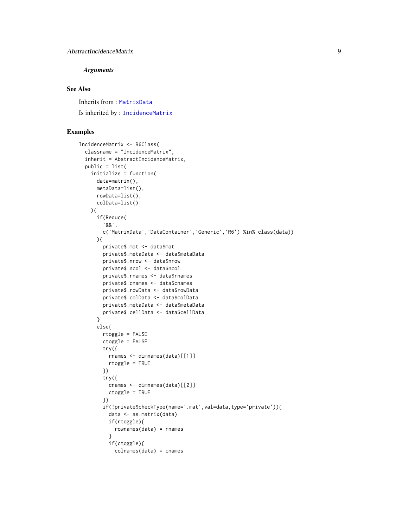## *Arguments*

## See Also

Inherits from : [MatrixData](#page-56-1)

Is inherited by : [IncidenceMatrix](#page-52-1)

```
IncidenceMatrix <- R6Class(
  classname = "IncidenceMatrix",
  inherit = AbstractIncidenceMatrix,
  public = list(
   initialize = function(
      data=matrix(),
     metaData=list(),
     rowData=list(),
      colData=list()
   ){
      if(Reduce(
        '&&',
        c('MatrixData','DataContainer','Generic','R6') %in% class(data))
      \mathcal{F}private$.mat <- data$mat
        private$.metaData <- data$metaData
        private$.nrow <- data$nrow
        private$.ncol <- data$ncol
        private$.rnames <- data$rnames
        private$.cnames <- data$cnames
        private$.rowData <- data$rowData
        private$.colData <- data$colData
        private$.metaData <- data$metaData
        private$.cellData <- data$cellData
      }
      else{
        rtoggle = FALSE
        ctoggle = FALSE
        try({
          rnames <- dimnames(data)[[1]]
          rtoggle = TRUE
        })
        try({
          cnames <- dimnames(data)[[2]]
          ctoggle = TRUE
        })
        if(!private$checkType(name='.mat',val=data,type='private')){
          data <- as.matrix(data)
          if(rtoggle){
            rownames(data) = rnames}
          if(ctoggle){
            colnames(data) = cnames
```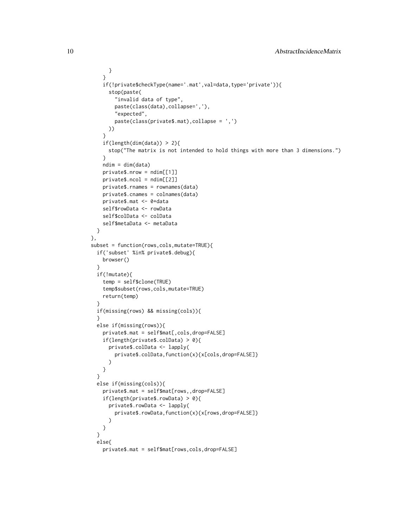```
}
   }
   if(!private$checkType(name='.mat',val=data,type='private')){
     stop(paste(
       "invalid data of type",
       paste(class(data),collapse=','),
       "expected",
       paste(class(private$.mat),collapse = ',')
     ))
   }
   if(length(dim(data)) > 2){
     stop("The matrix is not intended to hold things with more than 3 dimensions.")
    }
   ndim = dim(data)
   private$.nrow = ndim[[1]]
   private$.ncol = ndim[[2]]private$.rnames = rownames(data)
   private$.cnames = colnames(data)
   private$.mat <- 0+data
   self$rowData <- rowData
   self$colData <- colData
   self$metaData <- metaData
 }
},
subset = function(rows,cols,mutate=TRUE){
 if('subset' %in% private$.debug){
   browser()
 }
 if(!mutate){
   temp = self$clone(TRUE)
   temp$subset(rows,cols,mutate=TRUE)
   return(temp)
 }
 if(missing(rows) && missing(cols)){
 }
 else if(missing(rows)){
   private$.mat = self$mat[,cols,drop=FALSE]
   if(length(private$.colData) > 0){
      private$.colData <- lapply(
       private$.colData,function(x){x[cols,drop=FALSE]}
      )
   }
 }
 else if(missing(cols)){
   private$.mat = self$mat[rows,,drop=FALSE]
   if(length(private$.rowData) > 0){
     private$.rowData <- lapply(
       private$.rowData,function(x){x[rows,drop=FALSE]}
     )
   }
 }
 else{
   private$.mat = self$mat[rows,cols,drop=FALSE]
```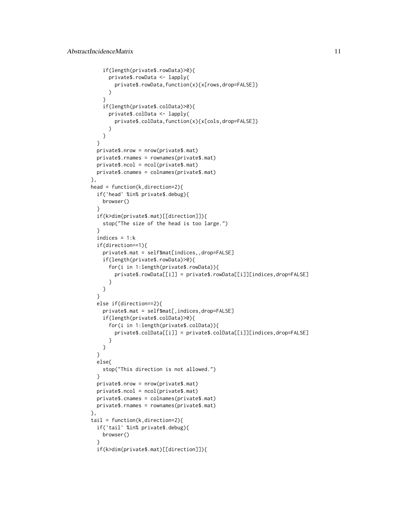```
if(length(private$.rowData)>0){
     private$.rowData <- lapply(
        private$.rowData,function(x){x[rows,drop=FALSE]}
     \lambda}
   if(length(private$.colData)>0){
     private$.colData <- lapply(
        private$.colData,function(x){x[cols,drop=FALSE]}
     )
   }
  }
 private$.nrow = nrow(private$.mat)
 private$.rnames = rownames(private$.mat)
 private$.ncol = ncol(private$.mat)
 private$.cnames = colnames(private$.mat)
},
head = function(k,direction=2){
 if('head' %in% private$.debug){
   browser()
  }
 if(k>dim(private$.mat)[[direction]]){
   stop("The size of the head is too large.")
  }
 indices = 1:kif(direction==1){
   private$.mat = self$mat[indices,,drop=FALSE]
   if(length(private$.rowData)>0){
     for(i in 1:length(private$.rowData)){
        private$.rowData[[i]] = private$.rowData[[i]][indices,drop=FALSE]
      }
   }
 }
  else if(direction==2){
   private$.mat = self$mat[,indices,drop=FALSE]
   if(length(private$.colData)>0){
     for(i in 1:length(private$.colData)){
        private$.colData[[i]] = private$.colData[[i]][indices,drop=FALSE]
      }
   }
 }
 else{
   stop("This direction is not allowed.")
  }
 private$.nrow = nrow(private$.mat)
 private$.ncol = ncol(private$.mat)
 private$.cnames = colnames(private$.mat)
 private$.rnames = rownames(private$.mat)
},
tail = function(k,direction=2){
 if('tail' %in% private$.debug){
   browser()
  }
 if(k>dim(private$.mat)[[direction]]){
```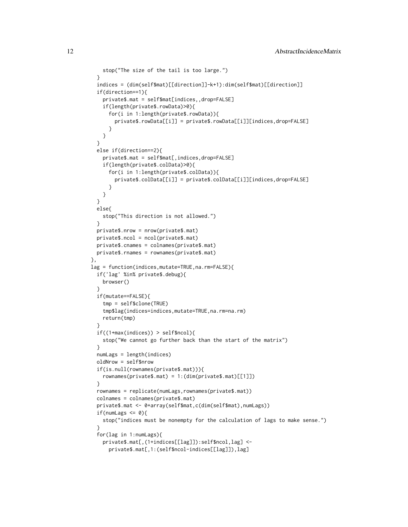```
stop("The size of the tail is too large.")
 }
 indices = (dim(self$mat)[[direction]]-k+1):dim(self$mat)[[direction]]
 if(direction==1){
   private$.mat = self$mat[indices,,drop=FALSE]
   if(length(private$.rowData)>0){
      for(i in 1:length(private$.rowData)){
       private$.rowData[[i]] = private$.rowData[[i]][indices,drop=FALSE]
     }
   }
  }
 else if(direction==2){
   private$.mat = self$mat[,indices,drop=FALSE]
   if(length(private$.colData)>0){
      for(i in 1:length(private$.colData)){
       private$.colData[[i]] = private$.colData[[i]][indices,drop=FALSE]
      }
   }
 }
  else{
   stop("This direction is not allowed.")
 }
 private$.nrow = nrow(private$.mat)
 private$.ncol = ncol(private$.mat)
 private$.cnames = colnames(private$.mat)
 private$.rnames = rownames(private$.mat)
},
lag = function(indices,mutate=TRUE,na.rm=FALSE){
 if('lag' %in% private$.debug){
   browser()
  }
 if(mutate==FALSE){
   tmp = self$clone(TRUE)
   tmp$lag(indices=indices,mutate=TRUE,na.rm=na.rm)
   return(tmp)
  }
 if((1+max(indices)) > self$ncol){
   stop("We cannot go further back than the start of the matrix")
  }
 numLags = length(indices)
 oldNrow = self$nrow
 if(is.null(rownames(private$.mat))){
   rownames(private$.mat) = 1:(dim(private$.mat)[[1]])
  }
 rownames = replicate(numLags,rownames(private$.mat))
 colnames = colnames(private$.mat)
 private$.mat <- 0+array(self$mat,c(dim(self$mat),numLags))
  if(numLags \leq 0){
   stop("indices must be nonempty for the calculation of lags to make sense.")
  }
 for(lag in 1:numLags){
   private$.mat[,(1+indices[[lag]]):self$ncol,lag] <-
     private$.mat[,1:(self$ncol-indices[[lag]]),lag]
```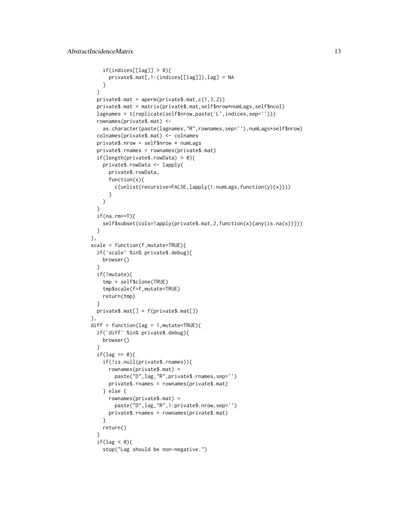```
if(intices[[lag]] > 0)private$.mat[,1:(indices[[lag]]),lag] = NA
   }
 }
 private$.mat = aperm(private$.mat,c(1,3,2))
 private$.mat = matrix(private$.mat,self$nrow*numLags,self$ncol)
  lagnames = t(replicate(self$nrow,paste('L',indices,sep='')))
 rownames(private$.mat) <-
   as.character(paste(lagnames,"R",rownames,sep=''),numLags*self$nrow)
 colnames(private$.mat) <- colnames
 private$.nrow = self$nrow * numLags
 private$.rnames = rownames(private$.mat)
  if(length(private$.rowData) > 0){
   private$.rowData <- lapply(
     private$.rowData,
     function(x){
        c(unlist(recursive=FALSE,lapply(1:numLags,function(y){x})))
      }
   )
 }
 if(na.\,rm==T){}self$subset(cols=!apply(private$.mat,2,function(x){any(is.na(x))}))
 }
},
scale = function(f,mutate=TRUE){
 if('scale' %in% private$.debug){
   browser()
 }
 if(!mutate){
   tmp = self$clone(TRUE)
   tmp$scale(f=f,mutate=TRUE)
   return(tmp)
 }
 private$.mat[] = f(private$.mat[])
},
diff = function(lag = 1, mutate=TRUE){
 if('diff' %in% private$.debug){
   browser()
  }
 if(lag == 0)if(!is.null(private$.rnames)){
      rownames(private$.mat) =
        paste("D", lag, "R", private$.rnames, sep='')
     private$.rnames = rownames(private$.mat)
   } else {
     rownames(private$.mat) =
        paste("D",lag,"R",1:private$.nrow,sep='')
     private$.rnames = rownames(private$.mat)
   }
   return()
  }
 if(lag < 0){
    stop("Lag should be non-negative.")
```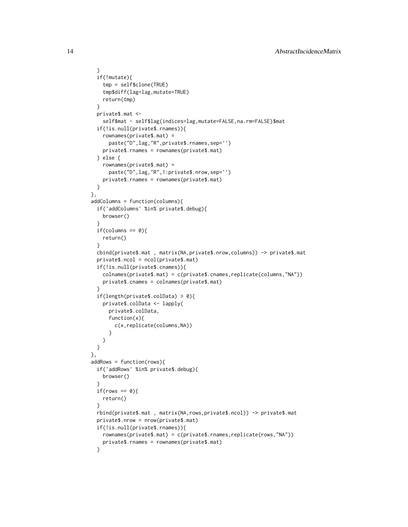```
}
 if(!mutate){
   tmp = self$clone(TRUE)
    tmp$diff(lag=lag,mutate=TRUE)
   return(tmp)
 }
 private$.mat <-
   self$mat - self$lag(indices=lag,mutate=FALSE,na.rm=FALSE)$mat
 if(!is.null(private$.rnames)){
   rownames(private$.mat) =
      paste("D",lag,"R",private$.rnames,sep='')
   private$.rnames = rownames(private$.mat)
  } else {
   rownames(private$.mat) =
      paste("D",lag,"R",1:private$.nrow,sep='')
   private$.rnames = rownames(private$.mat)
 }
},
addColumns = function(columns){
 if('addColumns' %in% private$.debug){
   browser()
  }
 if(columns == 0){
   return()
  }
 cbind(private$.mat , matrix(NA,private$.nrow,columns)) -> private$.mat
  private$.ncol = ncol(private$.mat)
 if(!is.null(private$.cnames)){
   colnames(private$.mat) = c(private$.cnames,replicate(columns,"NA"))
   private$.cnames = colnames(private$.mat)
  }
 if(length(private$.colData) > 0){
   private$.colData <- lapply(
     private$.colData,
     function(x){
        c(x,replicate(columns,NA))
      }
   )
 }
},
addRows = function(rows){
 if('addRows' %in% private$.debug){
   browser()
  }
 if(rows == 0)return()
  }
 rbind(private$.mat , matrix(NA,rows,private$.ncol)) -> private$.mat
 private$.nrow = nrow(private$.mat)
 if(!is.null(private$.rnames)){
   rownames(private$.mat) = c(private$.rnames,replicate(rows,"NA"))
   private$.rnames = rownames(private$.mat)
  }
```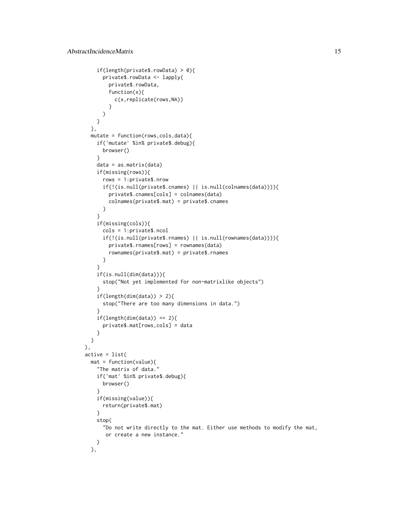```
if(length(private$.rowData) > 0){
      private$.rowData <- lapply(
        private$.rowData,
        function(x){
          c(x,replicate(rows,NA))
        }
     )
   }
  },
  mutate = function(rows,cols,data){
    if('mutate' %in% private$.debug){
     browser()
    }
    data = as.matrix(data)
    if(missing(rows)){
      rows = 1:private$.nrow
      if(!(is.null(private$.cnames) || is.null(colnames(data)))){
        private$.cnames[cols] = colnames(data)
        colnames(private$.mat) = private$.cnames
      }
    }
    if(missing(cols)){
     cols = 1:private$.ncol
      if(!(is.null(private$.rnames) || is.null(rownames(data)))){
        private$.rnames[rows] = rownames(data)
        rownames(private$.mat) = private$.rnames
     }
    }
    if(is.null(dim(data))){
     stop("Not yet implemented for non-matrixlike objects")
    }
    if(length(dim(data)) > 2){
      stop("There are too many dimensions in data.")
    }
    if(length(dim(data)) == 2){
     private$.mat[rows,cols] = data
    }
 }
),
active = list(
  mat = function(value)"The matrix of data."
    if('mat' %in% private$.debug){
     browser()
    }
    if(missing(value)){
     return(private$.mat)
    }
    stop(
      "Do not write directly to the mat. Either use methods to modify the mat,
      or create a new instance."
    )
  },
```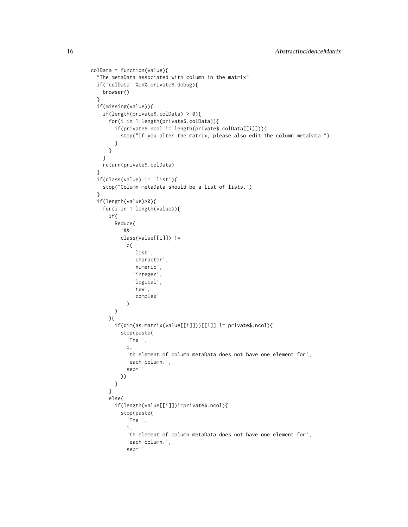```
colData = function(value){
  "The metaData associated with column in the matrix"
 if('colData' %in% private$.debug){
   browser()
  }
 if(missing(value)){
   if(length(private$.colData) > 0){
      for(i in 1:length(private$.colData)){
        if(private$.ncol != length(private$.colData[[i]])){
          stop("If you alter the matrix, please also edit the column metaData.")
        }
     }
    }
    return(private$.colData)
  }
 if(class(value) != 'list'){
    stop("Column metaData should be a list of lists.")
  }
 if(length(value)>0){
    for(i in 1:length(value)){
     if(
        Reduce(
          '&&',
          class(value[[i]]) !=
            c(
              'list',
              'character',
              'numeric',
              'integer',
              'logical',
              'raw',
              'complex'
            \mathcal{L})
     ){
        if(dim(as.matrix(value[[i]]))[[1]] != private$.ncol){
          stop(paste(
            'The ',
            i,
            'th element of column metaData does not have one element for',
            'each column.',
            sep=''
          ))
        }
      }
      else{
        if(length(value[[i]])!=private$.ncol){
          stop(paste(
            'The ',
            i,
            'th element of column metaData does not have one element for',
            'each column.',
            sep=''
```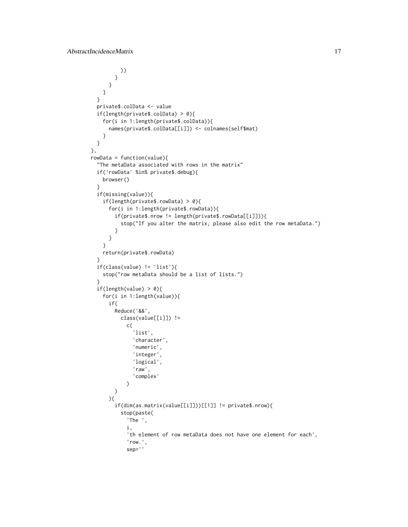```
))
        }
      }
   }
  }
  private$.colData <- value
  if(length(private$.colData) > 0){
    for(i in 1:length(private$.colData)){
      names(private$.colData[[i]]) <- colnames(self$mat)
   }
  }
},
rowData = function(value){
  "The metaData associated with rows in the matrix"
  if('rowData' %in% private$.debug){
   browser()
  }
  if(missing(value)){
   if(length(private$.rowData) > 0){
      for(i in 1:length(private$.rowData)){
        if(private$.nrow != length(private$.rowData[[i]])){
          stop("If you alter the matrix, please also edit the row metaData.")
        }
      }
    }
    return(private$.rowData)
  }
  if(class(value) != 'list'){
   stop("row metaData should be a list of lists.")
  }
  if(length(value) > 0){
    for(i in 1:length(value)){
      if(
        Reduce('&&',
          class(value[[i]]) !=
            c(
              'list',
              'character',
              'numeric',
              'integer',
              'logical',
              'raw',
              'complex'
            )
        \mathcal{L}){
        if(dim(as.matrix(value[[i]]))[[1]] != private$.nrow){
          stop(paste(
            'The ',
            i,
            'th element of row metaData does not have one element for each',
            'row.',
            sep=''
```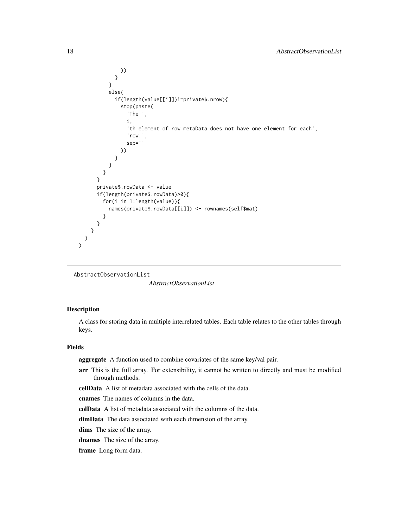```
))
            }
          }
          else{
            if(length(value[[i]])!=private$.nrow){
               stop(paste(
                 'The ',
                 i,
                 'th element of row metaData does not have one element for each',
                 'row.',
                 sep=''
              ))
            }
          }
        }
      }
      private$.rowData <- value
      if(length(private$.rowData)>0){
        for(i in 1:length(value)){
          names(private$.rowData[[i]]) <- rownames(self$mat)
        }
      }
   }
 )
\mathcal{L}
```
AbstractObservationList

*AbstractObservationList*

## Description

A class for storing data in multiple interrelated tables. Each table relates to the other tables through keys.

## Fields

aggregate A function used to combine covariates of the same key/val pair.

- arr This is the full array. For extensibility, it cannot be written to directly and must be modified through methods.
- cellData A list of metadata associated with the cells of the data.

cnames The names of columns in the data.

colData A list of metadata associated with the columns of the data.

dimData The data associated with each dimension of the array.

dims The size of the array.

dnames The size of the array.

frame Long form data.

<span id="page-17-0"></span>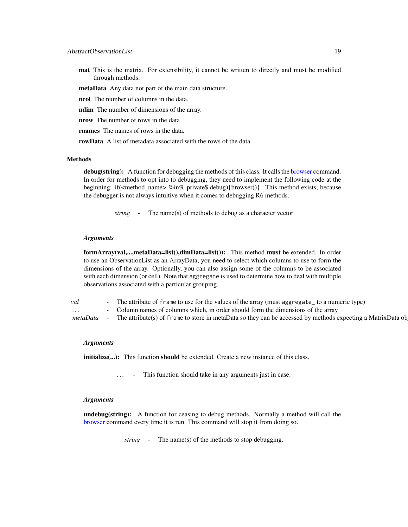mat This is the matrix. For extensibility, it cannot be written to directly and must be modified through methods.

metaData Any data not part of the main data structure.

ncol The number of columns in the data.

ndim The number of dimensions of the array.

nrow The number of rows in the data

**rnames** The names of rows in the data.

**rowData** A list of metadata associated with the rows of the data.

## **Methods**

debug(string): A function for debugging the methods of this class. It calls the [browser](#page-0-0) command. In order for methods to opt into to debugging, they need to implement the following code at the beginning: if( $\leq$ method name $\geq \frac{1}{2}$  private\$.debug){browser()}. This method exists, because the debugger is not always intuitive when it comes to debugging R6 methods.

*string* - The name(s) of methods to debug as a character vector

## *Arguments*

formArray(val,...,metaData=list(),dimData=list()): This method must be extended. In order to use an ObservationList as an ArrayData, you need to select which columns to use to form the dimensions of the array. Optionally, you can also assign some of the columns to be associated with each dimension (or cell). Note that aggregate is used to determine how to deal with multiple observations associated with a particular grouping.

*val* - The attribute of frame to use for the values of the array (must aggregate to a numeric type) *. . .* - Column names of columns which, in order should form the dimensions of the array *metaData* - The attribute(s) of frame to store in metaData so they can be accessed by methods expecting a MatrixData ob

## *Arguments*

initialize(...): This function should be extended. Create a new instance of this class.

*. . .* - This function should take in any arguments just in case.

## *Arguments*

undebug(string): A function for ceasing to debug methods. Normally a method will call the [browser](#page-0-0) command every time it is run. This command will stop it from doing so.

*string* - The name(s) of the methods to stop debugging.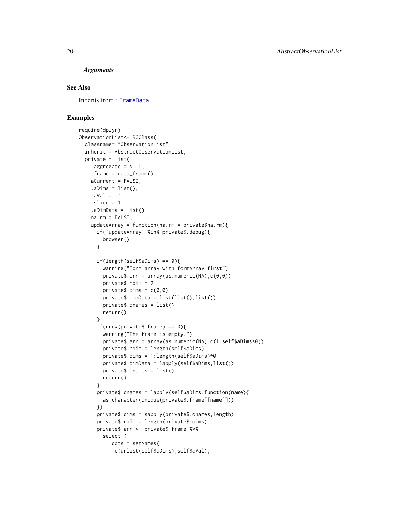*Arguments*

## See Also

Inherits from : [FrameData](#page-48-1)

```
require(dplyr)
ObservationList<- R6Class(
  classname= "ObservationList",
  inherit = AbstractObservationList,
  private = list(
    .aggregate = NULL,
    . frame = data_frame(),
   aCurrent = FALSE,
    abims = list(),
    .aVal = '',
    slice = 1,
    aDimData = list(),na.rm = FALSE,updateArray = function(na.rm = private$na.rm){
      if('updateArray' %in% private$.debug){
        browser()
      }
      if(length(self$aDims) == 0){
        warning("Form array with formArray first")
        private$.arr = array(as.numeric(NA), c(0,0))private$.ndim = 2
       private$.dims = c(0,0)private$.dimData = list(list(),list())
       private$.dnames = list()
       return()
      }
      if(nrow(private$.frame) == 0){
        warning("The frame is empty.")
        private$.arr = array(as.numeric(NA),c(1:self$aDims*0))
        private$.ndim = length(self$aDims)
        private$.dims = 1:length(self$aDims)*0
        private$.dimData = lapply(self$aDims,list())
        private$.dnames = list()
       return()
      }
      private$.dnames = lapply(self$aDims,function(name){
        as.character(unique(private$.frame[[name]]))
      })
      private$.dims = sapply(private$.dnames,length)
      private$.ndim = length(private$.dims)
      private$.arr <- private$.frame %>%
       select_(
          .dots = setNames(
            c(unlist(self$aDims),self$aVal),
```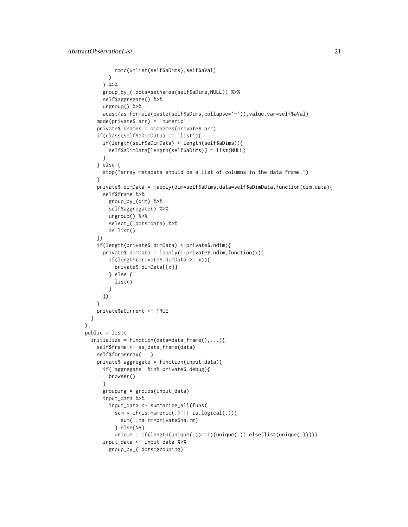),

```
nm=c(unlist(self$aDims),self$aVal)
       )
      ) %>%
      group_by_(.dots=setNames(self$aDims,NULL)) %>%
      self$aggregate() %>%
     ungroup() %>%
      acast(as.formula(paste(self$aDims,collapse='~')),value.var=self$aVal)
    mode(private$.arr) = 'numeric'
    private$.dnames = dimnames(private$.arr)
    if(class(self$aDimData) == 'list'){
      if(length(self$aDimData) < length(self$aDims)){
        self$aDimData[length(self$aDims)] = list(NULL)
      }
    } else {
     stop("array metadata should be a list of columns in the data frame.")
    }
    private$.dimData = mapply(dim=self$aDims,data=self$aDimData,function(dim,data){
      self$frame %>%
       group_by_(dim) %>%
        self$aggregate() %>%
       ungroup() %>%
       select_(.dots=data) %>%
        as.list()
    })
    if(length(private$.dimData) < private$.ndim){
      private$.dimData = lapply(1:private$.ndim,function(x){
        if(length(private$.dimData >= x)){
          private$.dimData[[x]]
        } else {
          list()
        }
     })
    }
   private$aCurrent <- TRUE
 }
public = list(
  initialize = function(data=data-frame(),...)self$frame <- as_data_frame(data)
    self$formArray(...)
    private$.aggregate = function(input_data){
      if('aggregate' %in% private$.debug){
       browser()
      }
      grouping = groups(input_data)
      input_data %>%
        input_data <- summarize_all(funs(
          sum = if(is.numeric(.) || is.logical(.)){
            sum(.,na.rm=private$na.rm)
          } else{NA},
          unique = if(length(unique(.))==1){unique(.)} else{list(unique(.))}))
      input_data <- input_data %>%
        group_by_(.dots=grouping)
```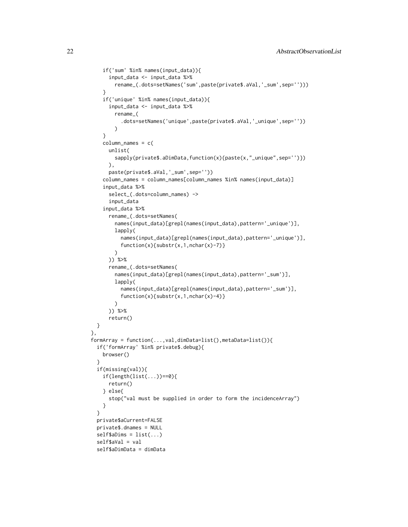```
if('sum' %in% names(input_data)){
     input_data <- input_data %>%
        rename_(.dots=setNames('sum',paste(private$.aVal,'_sum',sep='')))
   }
   if('unique' %in% names(input_data)){
     input_data <- input_data %>%
        rename_(
          .dots=setNames('unique',paste(private$.aVal,'_unique',sep=''))
        \lambda}
   column\_names = c(unlist(
        sapply(private$.aDimData,function(x){paste(x,"_unique",sep='')})
     ),
     paste(private$.aVal,'_sum',sep=''))
   column_names = column_names[column_names %in% names(input_data)]
   input_data %>%
     select_(.dots=column_names) ->
     input_data
    input_data %>%
     rename_(.dots=setNames(
        names(input_data)[grepl(names(input_data),pattern='_unique')],
        lapply(
         names(input_data)[grepl(names(input_data),pattern='_unique')],
          function(x){substr(x,1,nchar(x)-7)}
        )
      )) %>%
      rename_(.dots=setNames(
        names(input_data)[grepl(names(input_data),pattern='_sum')],
        lapply(
         names(input_data)[grepl(names(input_data),pattern='_sum')],
          function(x){substr(x,1,nchar(x)-4)}
       )
     )) %>%
     return()
 }
},
formArray = function(...,val,dimData=list(),metaData=list()){
 if('formArray' %in% private$.debug){
   browser()
  }
 if(missing(val)){
   if(length(list(...))==0){
     return()
   } else{
      stop("val must be supplied in order to form the incidenceArray")
   }
 }
 private$aCurrent=FALSE
 private$.dnames = NULL
 self$aDims = list(...)self$aVal = val
  self$aDimData = dimData
```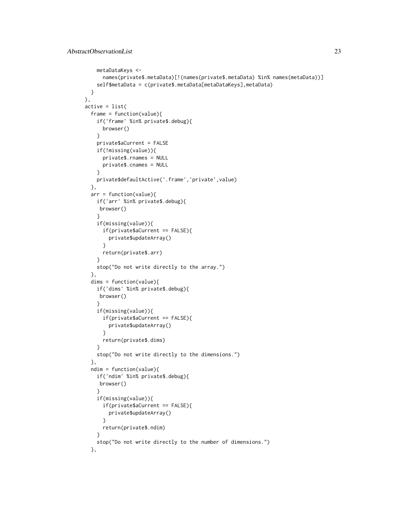```
metaDataKeys <-
      names(private$.metaData)[!(names(private$.metaData) %in% names(metaData))]
    self$metaData = c(private$.metaData[metaDataKeys],metaData)
 }
),
active = list(
  frame = function(value){
    if('frame' %in% private$.debug){
     browser()
    }
    private$aCurrent = FALSE
    if(!missing(value)){
      private$.rnames = NULL
      private$.cnames = NULL
    }
    private$defaultActive('.frame','private',value)
  },
  arr = function(value){
    if('arr' %in% private$.debug){
    browser()
    }
    if(missing(value)){
     if(private$aCurrent == FALSE){
       private$updateArray()
      }
     return(private$.arr)
    }
    stop("Do not write directly to the array.")
  },
  dims = function(value){
    if('dims' %in% private$.debug){
    browser()
    }
    if(missing(value)){
      if(private$aCurrent == FALSE){
       private$updateArray()
     }
     return(private$.dims)
    }
    stop("Do not write directly to the dimensions.")
  },
  ndim = function(value){
    if('ndim' %in% private$.debug){
    browser()
    }
    if(missing(value)){
      if(private$aCurrent == FALSE){
       private$updateArray()
     }
     return(private$.ndim)
    }
    stop("Do not write directly to the number of dimensions.")
  },
```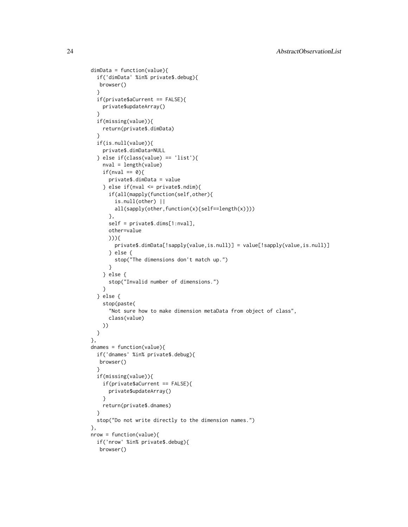```
dimData = function(value){
  if('dimData' %in% private$.debug){
  browser()
  }
  if(private$aCurrent == FALSE){
   private$updateArray()
  }
  if(missing(value)){
   return(private$.dimData)
  }
  if(is.null(value)){
    private$.dimData=NULL
  } else if(class(value) == 'list'){
    nval = length(value)
    if(nval == 0){
      private$.dimData = value
    } else if(nval <= private$.ndim){
      if(all(mapply(function(self,other){
        is.null(other) ||
        all(sapply(other,function(x){self==length(x)}))
      },
     self = private$.dims[1:nval],
     other=value
      ))){
        private$.dimData[!sapply(value,is.null)] = value[!sapply(value,is.null)]
      } else {
        stop("The dimensions don't match up.")
      }
    } else {
      stop("Invalid number of dimensions.")
   }
  } else {
    stop(paste(
      "Not sure how to make dimension metaData from object of class",
      class(value)
   ))
  }
},
dnames = function(value){
  if('dnames' %in% private$.debug){
   browser()
  }
  if(missing(value)){
    if(private$aCurrent == FALSE){
     private$updateArray()
    }
   return(private$.dnames)
  }
  stop("Do not write directly to the dimension names.")
},
nrow = function(value){
  if('nrow' %in% private$.debug){
   browser()
```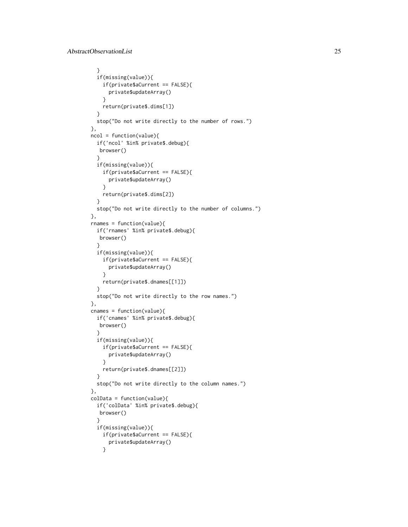```
}
  if(missing(value)){
    if(private$aCurrent == FALSE){
     private$updateArray()
   }
   return(private$.dims[1])
  }
  stop("Do not write directly to the number of rows.")
},
ncol = function(value){
  if('ncol' %in% private$.debug){
   browser()
  }
  if(missing(value)){
    if(private$aCurrent == FALSE){
     private$updateArray()
    }
   return(private$.dims[2])
  }
  stop("Do not write directly to the number of columns.")
},
rnames = function(value){
  if('rnames' %in% private$.debug){
   browser()
  }
  if(missing(value)){
    if(private$aCurrent == FALSE){
     private$updateArray()
    }
   return(private$.dnames[[1]])
  }
  stop("Do not write directly to the row names.")
},
cnames = function(value){
  if('cnames' %in% private$.debug){
  browser()
  }
  if(missing(value)){
    if(private$aCurrent == FALSE){
     private$updateArray()
    }
   return(private$.dnames[[2]])
  }
  stop("Do not write directly to the column names.")
},
colData = function(value){
  if('colData' %in% private$.debug){
  browser()
  }
  if(missing(value)){
   if(private$aCurrent == FALSE){
     private$updateArray()
    }
```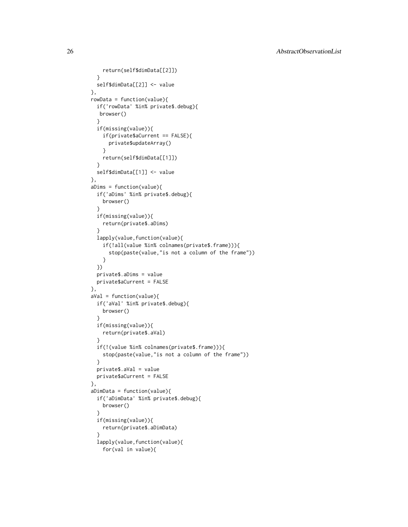```
return(self$dimData[[2]])
 }
 self$dimData[[2]] <- value
},
rowData = function(value){
 if('rowData' %in% private$.debug){
  browser()
 }
 if(missing(value)){
   if(private$aCurrent == FALSE){
     private$updateArray()
   }
   return(self$dimData[[1]])
 }
 self$dimData[[1]] <- value
},
aDims = function(value){
 if('aDims' %in% private$.debug){
   browser()
 }
 if(missing(value)){
   return(private$.aDims)
 }
 lapply(value,function(value){
   if(!all(value %in% colnames(private$.frame))){
     stop(paste(value,"is not a column of the frame"))
   }
 })
 private$.aDims = value
 private$aCurrent = FALSE
},
aVal = function(value){
 if('aVal' %in% private$.debug){
   browser()
 }
 if(missing(value)){
   return(private$.aVal)
 }
 if(!(value %in% colnames(private$.frame))){
   stop(paste(value,"is not a column of the frame"))
 }
 private$.aVal = value
 private$aCurrent = FALSE
},
aDimData = function(value){
 if('aDimData' %in% private$.debug){
   browser()
 }
 if(missing(value)){
   return(private$.aDimData)
  }
 lapply(value,function(value){
   for(val in value){
```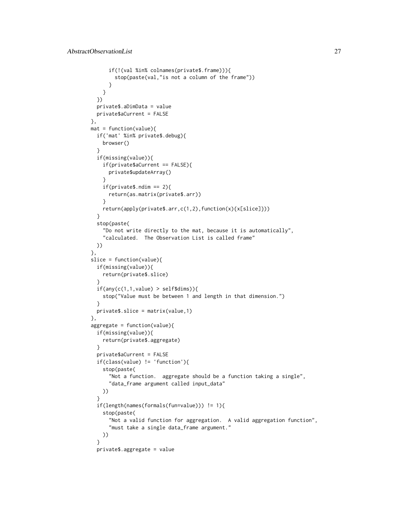```
if(!(val %in% colnames(private$.frame))){
        stop(paste(val,"is not a column of the frame"))
      }
   }
  })
  private$.aDimData = value
  private$aCurrent = FALSE
},
mat = function(value)if('mat' %in% private$.debug){
    browser()
  }
  if(missing(value)){
    if(private$aCurrent == FALSE){
     private$updateArray()
    }
   if(private$.ndim == 2){
      return(as.matrix(private$.arr))
    }
    return(apply(private$.arr,c(1,2),function(x){x[slice]}))
  }
  stop(paste(
    "Do not write directly to the mat, because it is automatically",
    "calculated. The Observation List is called frame"
  ))
},
slice = function(value){
  if(missing(value)){
   return(private$.slice)
  }
  if(any(c(1,1,value) > self$dims)){
    stop("Value must be between 1 and length in that dimension.")
  }
  private$.slice = matrix(value,1)
},
aggregate = function(value){
  if(missing(value)){
    return(private$.aggregate)
  }
  private$aCurrent = FALSE
  if(class(value) != 'function'){
    stop(paste(
      "Not a function. aggregate should be a function taking a single",
      "data_frame argument called input_data"
   ))
  }
  if(length(names(formals(fun=value))) != 1){
   stop(paste(
      "Not a valid function for aggregation. A valid aggregation function",
      "must take a single data_frame argument."
   ))
  }
  private$.aggregate = value
```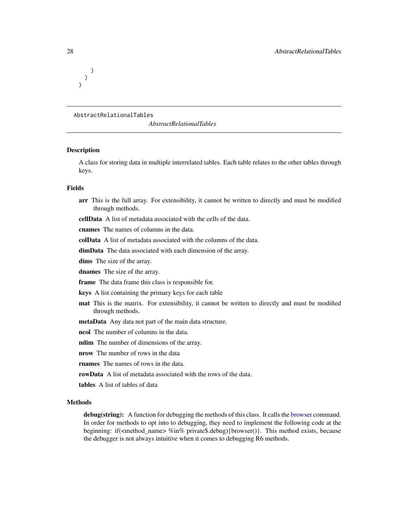<span id="page-27-0"></span>} ) )

## AbstractRelationalTables

*AbstractRelationalTables*

## Description

A class for storing data in multiple interrelated tables. Each table relates to the other tables through keys.

#### Fields

arr This is the full array. For extensibility, it cannot be written to directly and must be modified through methods.

cellData A list of metadata associated with the cells of the data.

cnames The names of columns in the data.

colData A list of metadata associated with the columns of the data.

dimData The data associated with each dimension of the array.

dims The size of the array.

dnames The size of the array.

frame The data frame this class is responsible for.

keys A list containing the primary keys for each table

- mat This is the matrix. For extensibility, it cannot be written to directly and must be modified through methods.
- metaData Any data not part of the main data structure.
- ncol The number of columns in the data.
- ndim The number of dimensions of the array.
- **nrow** The number of rows in the data

**rnames** The names of rows in the data.

rowData A list of metadata associated with the rows of the data.

tables A list of tables of data

#### Methods

debug(string): A function for debugging the methods of this class. It calls the [browser](#page-0-0) command. In order for methods to opt into to debugging, they need to implement the following code at the beginning: if(<method\_name> %in% private\$.debug){browser()}. This method exists, because the debugger is not always intuitive when it comes to debugging R6 methods.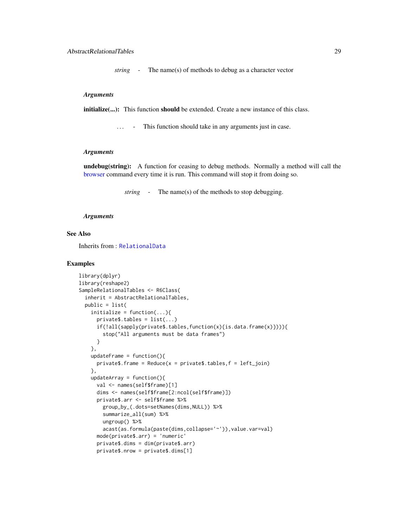*string* - The name(s) of methods to debug as a character vector

## *Arguments*

initialize(...): This function should be extended. Create a new instance of this class.

*. . .* - This function should take in any arguments just in case.

## *Arguments*

undebug(string): A function for ceasing to debug methods. Normally a method will call the [browser](#page-0-0) command every time it is run. This command will stop it from doing so.

*string* - The name(s) of the methods to stop debugging.

## *Arguments*

## See Also

Inherits from : [RelationalData](#page-66-1)

```
library(dplyr)
library(reshape2)
SampleRelationalTables <- R6Class(
 inherit = AbstractRelationalTables,
 public = list(
   initialize = function(...)private$.tables = list(...)if(!all(sapply(private$.tables,function(x){is.data.frame(x)}))){
       stop("All arguments must be data frames")
     }
    },
   updateFrame = function()private$.frame = Reduce(x = private$.tables,f = left\_join)},
   updateArray = function()val <- names(self$frame)[1]
     dims <- names(self$frame[2:ncol(self$frame)])
     private$.arr <- self$frame %>%
       group_by_(.dots=setNames(dims,NULL)) %>%
       summarize_all(sum) %>%
       ungroup() %>%
       acast(as.formula(paste(dims,collapse='~')),value.var=val)
     mode(private$.arr) = 'numeric'
     private$.dims = dim(private$.arr)
     private$.nrow = private$.dims[1]
```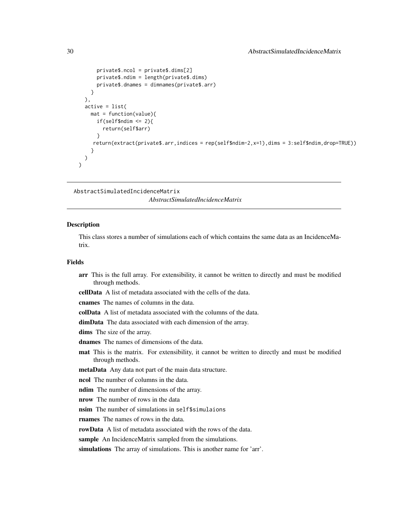```
private$.ncol = private$.dims[2]
      private$.ndim = length(private$.dims)
      private$.dnames = dimnames(private$.arr)
   }
 ),
 active = list(
   mat = function(value){
      if(self$ndim \leq 2){
        return(self$arr)
      }
    return(extract(private$.arr,indices = rep(self$ndim-2,x=1),dims = 3:self$ndim,drop=TRUE))
    }
 )
\mathcal{L}
```
*AbstractSimulatedIncidenceMatrix*

#### **Description**

This class stores a number of simulations each of which contains the same data as an IncidenceMatrix.

## Fields

- arr This is the full array. For extensibility, it cannot be written to directly and must be modified through methods.
- cellData A list of metadata associated with the cells of the data.

cnames The names of columns in the data.

colData A list of metadata associated with the columns of the data.

dimData The data associated with each dimension of the array.

- dims The size of the array.
- dnames The names of dimensions of the data.
- mat This is the matrix. For extensibility, it cannot be written to directly and must be modified through methods.

metaData Any data not part of the main data structure.

ncol The number of columns in the data.

ndim The number of dimensions of the array.

nrow The number of rows in the data

nsim The number of simulations in self\$simulaions

**rnames** The names of rows in the data.

rowData A list of metadata associated with the rows of the data.

sample An IncidenceMatrix sampled from the simulations.

simulations The array of simulations. This is another name for 'arr'.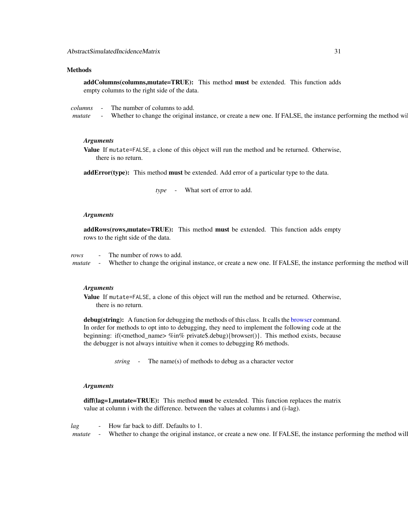## Methods

addColumns(columns,mutate=TRUE): This method must be extended. This function adds empty columns to the right side of the data.

*columns* - The number of columns to add.

*mutate* - Whether to change the original instance, or create a new one. If FALSE, the instance performing the method wi

#### *Arguments*

Value If mutate=FALSE, a clone of this object will run the method and be returned. Otherwise, there is no return.

addError(type): This method must be extended. Add error of a particular type to the data.

*type* - What sort of error to add.

#### *Arguments*

addRows(rows,mutate=TRUE): This method must be extended. This function adds empty rows to the right side of the data.

*rows* - The number of rows to add.

*mutate* - Whether to change the original instance, or create a new one. If FALSE, the instance performing the method will

## *Arguments*

Value If mutate=FALSE, a clone of this object will run the method and be returned. Otherwise, there is no return.

debug(string): A function for debugging the methods of this class. It calls the [browser](#page-0-0) command. In order for methods to opt into to debugging, they need to implement the following code at the beginning: if(<method\_name> %in% private\$.debug){browser()}. This method exists, because the debugger is not always intuitive when it comes to debugging R6 methods.

*string* - The name(s) of methods to debug as a character vector

#### *Arguments*

diff(lag=1,mutate=TRUE): This method must be extended. This function replaces the matrix value at column i with the difference. between the values at columns i and (i-lag).

*lag* - How far back to diff. Defaults to 1.

*mutate* - Whether to change the original instance, or create a new one. If FALSE, the instance performing the method will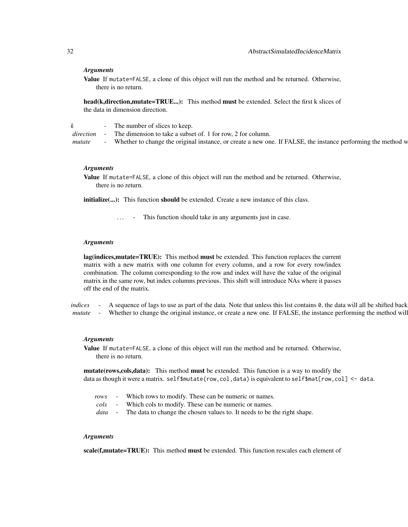#### *Arguments*

Value If mutate=FALSE, a clone of this object will run the method and be returned. Otherwise, there is no return.

head(k,direction,mutate=TRUE...): This method must be extended. Select the first k slices of the data in dimension direction.

|           | The number of slices to keep.                                                                                |  |
|-----------|--------------------------------------------------------------------------------------------------------------|--|
| direction | The dimension to take a subset of 1 for row.<br>. 2 for column.                                              |  |
| mutate    | Whether to change the original instance, or create a new one. If FALSE, the instance performing the method w |  |

#### *Arguments*

Value If mutate=FALSE, a clone of this object will run the method and be returned. Otherwise, there is no return.

initialize(...): This function should be extended. Create a new instance of this class.

*. . .* - This function should take in any arguments just in case.

## *Arguments*

lag(indices,mutate=TRUE): This method must be extended. This function replaces the current matrix with a new matrix with one column for every column, and a row for every row/index combination. The column corresponding to the row and index will have the value of the original matrix in the same row, but index columns previous. This shift will introduce NAs where it passes off the end of the matrix.

*indices* - A sequence of lags to use as part of the data. Note that unless this list contains 0, the data will all be shifted back *mutate* - Whether to change the original instance, or create a new one. If FALSE, the instance performing the method will

## *Arguments*

Value If mutate=FALSE, a clone of this object will run the method and be returned. Otherwise, there is no return.

mutate(rows,cols,data): This method must be extended. This function is a way to modify the data as though it were a matrix. self\$mutate(row,col,data) is equivalent to self\$mat[row,col] <- data.

- *rows* Which rows to modify. These can be numeric or names.
- *cols* Which cols to modify. These can be numeric or names.
- *data* The data to change the chosen values to. It needs to be the right shape.

#### *Arguments*

scale(f,mutate=TRUE): This method must be extended. This function rescales each element of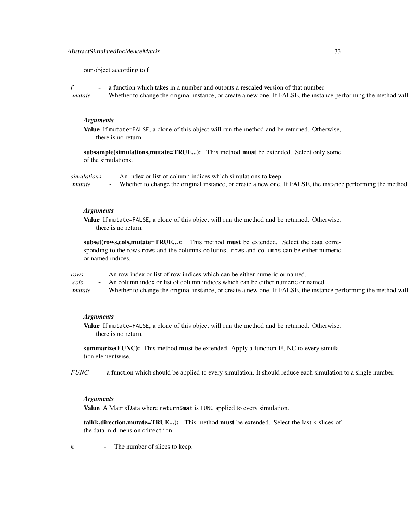our object according to f

*f* a function which takes in a number and outputs a rescaled version of that number mutate - Whether to change the original instance, or create a new one. If FALSE, the instance performing the method will

## *Arguments*

Value If mutate=FALSE, a clone of this object will run the method and be returned. Otherwise, there is no return.

subsample(simulations,mutate=TRUE...): This method must be extended. Select only some of the simulations.

*simulations* - An index or list of column indices which simulations to keep. *mutate* - Whether to change the original instance, or create a new one. If FALSE, the instance performing the method

#### *Arguments*

Value If mutate=FALSE, a clone of this object will run the method and be returned. Otherwise, there is no return.

subset(rows,cols,mutate=TRUE...): This method must be extended. Select the data corresponding to the rows rows and the columns columns. rows and columns can be either numeric or named indices.

*rows* - An row index or list of row indices which can be either numeric or named.

*cols* - An column index or list of column indices which can be either numeric or named.

*mutate* - Whether to change the original instance, or create a new one. If FALSE, the instance performing the method will

#### *Arguments*

Value If mutate=FALSE, a clone of this object will run the method and be returned. Otherwise, there is no return.

summarize(FUNC): This method must be extended. Apply a function FUNC to every simulation elementwise.

*FUNC* - a function which should be applied to every simulation. It should reduce each simulation to a single number.

## *Arguments*

Value A MatrixData where return\$mat is FUNC applied to every simulation.

tail(k,direction,mutate=TRUE...): This method must be extended. Select the last k slices of the data in dimension direction.

*k* - The number of slices to keep.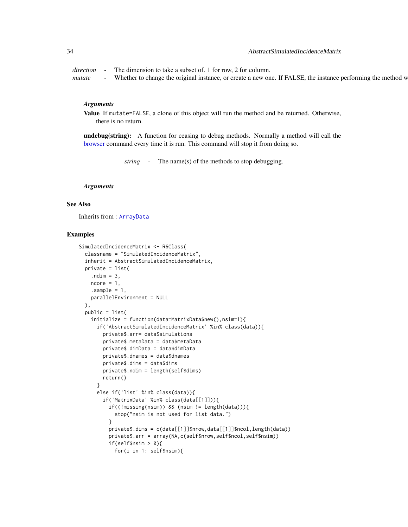*direction* - The dimension to take a subset of. 1 for row, 2 for column.

mutate - Whether to change the original instance, or create a new one. If FALSE, the instance performing the method w

## *Arguments*

Value If mutate=FALSE, a clone of this object will run the method and be returned. Otherwise, there is no return.

undebug(string): A function for ceasing to debug methods. Normally a method will call the [browser](#page-0-0) command every time it is run. This command will stop it from doing so.

*string* - The name(s) of the methods to stop debugging.

## *Arguments*

## See Also

Inherits from : [ArrayData](#page-42-1)

```
SimulatedIncidenceMatrix <- R6Class(
  classname = "SimulatedIncidenceMatrix",
  inherit = AbstractSimulatedIncidenceMatrix,
  private = list(
    .ndim = 3,
   ncore = 1.
    sample = 1,parallelEnvironment = NULL
  ),
  public = list(
    initialize = function(data=MatrixData$new(),nsim=1){
      if('AbstractSimulatedIncidenceMatrix' %in% class(data)){
        private$.arr= data$simulations
        private$.metaData = data$metaData
        private$.dimData = data$dimData
        private$.dnames = data$dnames
        private$.dims = data$dims
        private$.ndim = length(self$dims)
       return()
      }
      else if('list' %in% class(data)){
        if('MatrixData' %in% class(data[[1]])){
          if((!missing(nsim)) && (nsim != length(data))){
            stop("nsim is not used for list data.")
          }
          private$.dims = c(data[[1]]$nrow,data[[1]]$ncol,length(data))
          private$.arr = array(NA,c(self$nrow,self$ncol,self$nsim))
          if(self$nsim > 0){
            for(i in 1: self$nsim){
```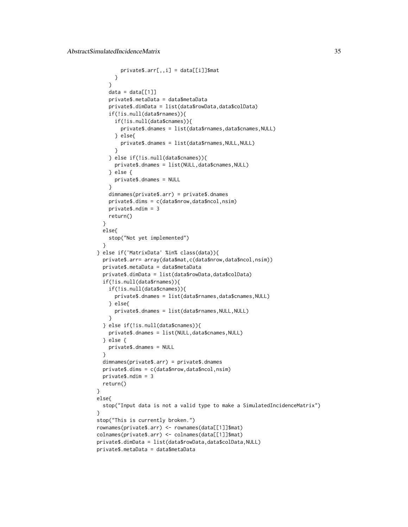```
private$.arr[,,i] = data[[i]]$mat
     }
    }
   data = data[[1]]private$.metaData = data$metaData
    private$.dimData = list(data$rowData,data$colData)
    if(!is.null(data$rnames)){
     if(!is.null(data$cnames)){
       private$.dnames = list(data$rnames,data$cnames,NULL)
     } else{
       private$.dnames = list(data$rnames,NULL,NULL)
     }
    } else if(!is.null(data$cnames)){
     private$.dnames = list(NULL,data$cnames,NULL)
    } else {
     private$.dnames = NULL
    }
    dimnames(private$.arr) = private$.dnames
   private$.dims = c(data$nrow,data$ncol,nsim)
   private$.ndim = 3
   return()
 }
 else{
    stop("Not yet implemented")
 }
} else if('MatrixData' %in% class(data)){
 private$.arr= array(data$mat,c(data$nrow,data$ncol,nsim))
 private$.metaData = data$metaData
 private$.dimData = list(data$rowData,data$colData)
 if(!is.null(data$rnames)){
    if(!is.null(data$cnames)){
     private$.dnames = list(data$rnames,data$cnames,NULL)
    } else{
     private$.dnames = list(data$rnames,NULL,NULL)
   }
  } else if(!is.null(data$cnames)){
   private$.dnames = list(NULL,data$cnames,NULL)
  } else {
   private$.dnames = NULL
  }
 dimnames(private$.arr) = private$.dnames
 private$.dims = c(data$nrow,data$ncol,nsim)
 private$.ndim = 3
 return()
}
else{
 stop("Input data is not a valid type to make a SimulatedIncidenceMatrix")
}
stop("This is currently broken.")
rownames(private$.arr) <- rownames(data[[1]]$mat)
colnames(private$.arr) <- colnames(data[[1]]$mat)
private$.dimData = list(data$rowData,data$colData,NULL)
private$.metaData = data$metaData
```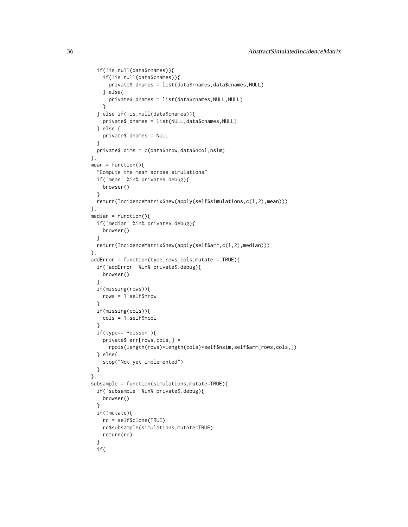```
if(!is.null(data$rnames)){
    if(!is.null(data$cnames)){
      private$.dnames = list(data$rnames,data$cnames,NULL)
    } else{
      private$.dnames = list(data$rnames,NULL,NULL)
    }
  } else if(!is.null(data$cnames)){
   private$.dnames = list(NULL,data$cnames,NULL)
  } else {
   private$.dnames = NULL
  }
  private$.dims = c(data$nrow,data$ncol,nsim)
},
mean = function()"Compute the mean across simulations"
  if('mean' %in% private$.debug){
   browser()
  }
  return(IncidenceMatrix$new(apply(self$simulations,c(1,2),mean)))
},
median = function()if('median' %in% private$.debug){
   browser()
  }
  return(IncidenceMatrix$new(apply(self$arr,c(1,2),median)))
},
addError = function(type,rows,cols,mutate = TRUE){}if('addError' %in% private$.debug){
   browser()
  }
  if(missing(rows)){
   rows = 1:self$nrow
  }
  if(missing(cols)){
   cols = 1:self$ncol
  }
  if(type=='Poisson'){
    private$.arr[rows,cols,] =
      rpois(length(rows)*length(cols)*self$nsim,self$arr[rows,cols,])
  } else{
    stop("Not yet implemented")
  }
},
subsample = function(simulations,mutate=TRUE){
  if('subsample' %in% private$.debug){
   browser()
  }
  if(!mutate){
   rc = self$clone(TRUE)
   rc$subsample(simulations,mutate=TRUE)
   return(rc)
  }
  if(
```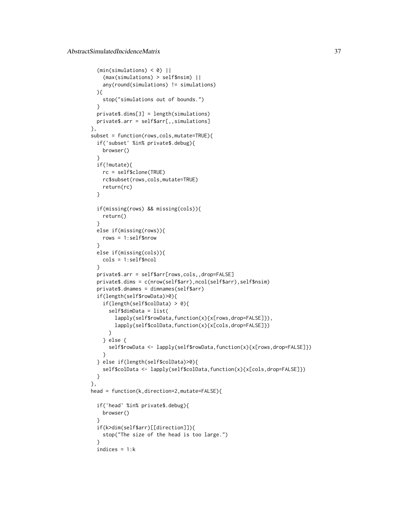```
(min(simulations) < 0) ||
    (max(simulations) > self$nsim) ||
   any(round(simulations) != simulations)
 ){
   stop("simulations out of bounds.")
 }
 private$.dims[3] = length(simulations)
 private$.arr = self$arr[,,simulations]
},
subset = function(rows,cols,mutate=TRUE){
 if('subset' %in% private$.debug){
   browser()
  }
 if(!mutate){
   rc = self$clone(TRUE)
   rc$subset(rows,cols,mutate=TRUE)
   return(rc)
 }
  if(missing(rows) && missing(cols)){
   return()
  }
 else if(missing(rows)){
   rows = 1:self$nrow
  }
 else if(missing(cols)){
   cols = 1:self$ncol
 }
 private$.arr = self$arr[rows,cols,,drop=FALSE]
 private$.dims = c(nrow(self$arr),ncol(self$arr),self$nsim)
 private$.dnames = dimnames(self$arr)
 if(length(self$rowData)>0){
   if(length(self$colData) > 0){
      self$dimData = list(
        lapply(self$rowData,function(x){x[rows,drop=FALSE]}),
        lapply(self$colData,function(x){x[cols,drop=FALSE]})
     \lambda} else {
     self$rowData <- lapply(self$rowData,function(x){x[rows,drop=FALSE]})
    }
 } else if(length(self$colData)>0){
   self$colData <- lapply(self$colData,function(x){x[cols,drop=FALSE]})
 }
},
head = function(k,direction=2,mutate=FALSE){
 if('head' %in% private$.debug){
   browser()
  }
 if(k>dim(self$arr)[[direction]]){
   stop("The size of the head is too large.")
  }
 indices = 1:k
```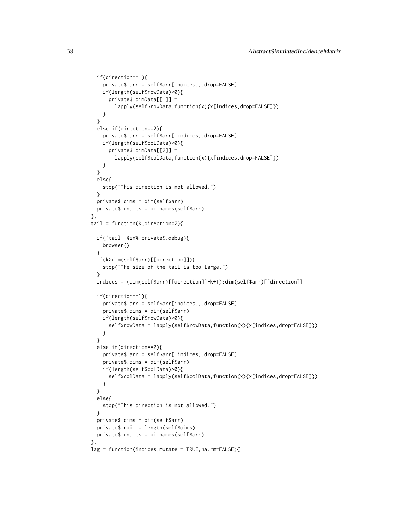```
if(direction==1){
   private$.arr = self$arr[indices,,,drop=FALSE]
   if(length(self$rowData)>0){
     private$.dimData[[1]] =
       lapply(self$rowData,function(x){x[indices,drop=FALSE]})
   }
 }
 else if(direction==2){
   private$.arr = self$arr[,indices,,drop=FALSE]
   if(length(self$colData)>0){
     private$.dimData[[2]] =
       lapply(self$colData,function(x){x[indices,drop=FALSE]})
   }
 }
 else{
   stop("This direction is not allowed.")
 }
 private$.dims = dim(self$arr)
 private$.dnames = dimnames(self$arr)
},
tail = function(k,direction=2){
 if('tail' %in% private$.debug){
   browser()
  }
  if(k>dim(self$arr)[[direction]]){
   stop("The size of the tail is too large.")
  }
 indices = (dim(self$arr)[[direction]]-k+1):dim(self$arr)[[direction]]
 if(direction==1){
   private$.arr = self$arr[indices,,,drop=FALSE]
   private$.dims = dim(self$arr)
   if(length(self$rowData)>0){
      self$rowData = lapply(self$rowData,function(x){x[indices,drop=FALSE]})
   }
  }
  else if(direction==2){
   private$.arr = self$arr[,indices,,drop=FALSE]
   private$.dims = dim(self$arr)
   if(length(self$colData)>0){
      self$colData = lapply(self$colData,function(x){x[indices,drop=FALSE]})
   }
 }
 else{
   stop("This direction is not allowed.")
 }
 private$.dims = dim(self$arr)
 private$.ndim = length(self$dims)
 private$.dnames = dimnames(self$arr)
},
lag = function(indices,mutate = TRUE,na.rm=FALSE){
```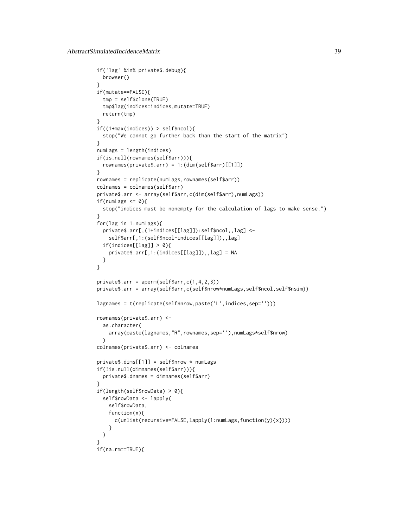```
if('lag' %in% private$.debug){
 browser()
}
if(mutate==FALSE){
  tmp = self$clone(TRUE)
  tmp$lag(indices=indices,mutate=TRUE)
 return(tmp)
}
if((1+max(indices)) > self$ncol){
  stop("We cannot go further back than the start of the matrix")
}
numLags = length(indices)
if(is.null(rownames(self$arr))){
  rownames(private$.arr) = 1:(dim(self$arr)[[1]])
}
rownames = replicate(numLags,rownames(self$arr))
colnames = colnames(self$arr)
private$.arr <- array(self$arr,c(dim(self$arr),numLags))
if(numLags \leq 0){
  stop("indices must be nonempty for the calculation of lags to make sense.")
}
for(lag in 1:numLags){
 private$.arr[,(1+indices[[lag]]):self$ncol,,lag] <-
    self$arr[,1:(self$ncol-indices[[lag]]),,lag]
  if(indices[[lag]] > 0){
   private$.arr[,1:(indices[[lag]]),,lag] = NA
  }
}
private$.arr = aperm(self$arr,c(1,4,2,3))
private$.arr = array(self$arr,c(self$nrow*numLags,self$ncol,self$nsim))
lagnames = t(replicate(self$nrow,paste('L',indices,sep='')))
rownames(private$.arr) <-
  as.character(
    array(paste(lagnames,"R",rownames,sep=''),numLags*self$nrow)
  \lambdacolnames(private$.arr) <- colnames
private$.dims[[1]] = self$nrow * numLags
if(!is.null(dimnames(self$arr))){
  private$.dnames = dimnames(self$arr)
}
if(length(self$rowData) > 0){
 self$rowData <- lapply(
   self$rowData,
    function(x){
      c(unlist(recursive=FALSE,lapply(1:numLags,function(y){x})))
    }
 )
}
if(na.rm==TRUE){
```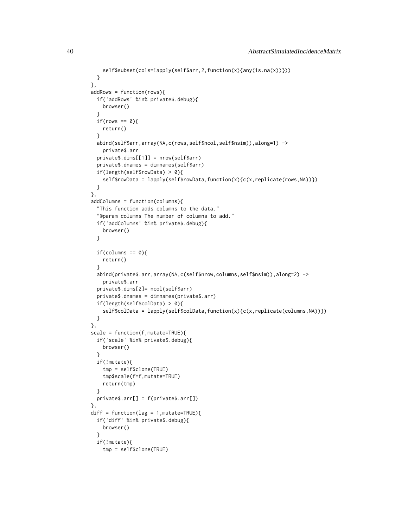```
self$subset(cols=!apply(self$arr,2,function(x){any(is.na(x))}))
 }
},
addRows = function(rows){
 if('addRows' %in% private$.debug){
   browser()
  }
 if(rows == 0){
   return()
  }
 abind(self$arr,array(NA,c(rows,self$ncol,self$nsim)),along=1) ->
   private$.arr
 private$.dims[[1]] = nrow(self$arr)
 private$.dnames = dimnames(self$arr)
 if(length(self$rowData) > 0){
    self$rowData = lapply(self$rowData,function(x){c(x,replicate(rows,NA))})
 }
},
addColumns = function(columns){
 "This function adds columns to the data."
  "@param columns The number of columns to add."
 if('addColumns' %in% private$.debug){
   browser()
 }
 if(column = 9){return()
  }
 abind(private$.arr,array(NA,c(self$nrow,columns,self$nsim)),along=2) ->
   private$.arr
  private$.dims[2]= ncol(self$arr)
  private$.dnames = dimnames(private$.arr)
 if(length(self$colData) > 0){
   self$colData = lapply(self$colData,function(x){c(x,replicate(columns,NA))})
 }
},
scale = function(f,mutate=TRUE){
 if('scale' %in% private$.debug){
   browser()
  }
 if(!mutate){
   tmp = self$clone(TRUE)
   tmp$scale(f=f,mutate=TRUE)
   return(tmp)
 }
 private$.arr[] = f(private$.arr[])
},
diff = function(lag = 1, mutate=TRUE)if('diff' %in% private$.debug){
   browser()
  }
 if(!mutate){
   tmp = self$clone(TRUE)
```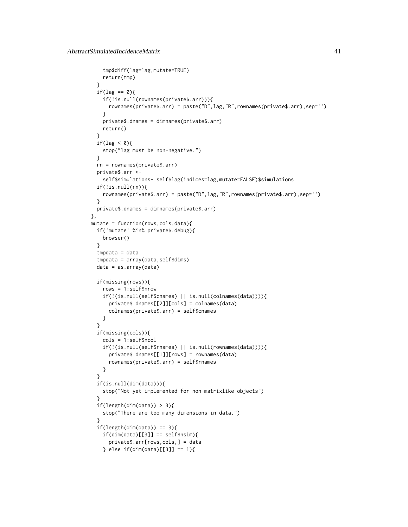```
tmp$diff(lag=lag,mutate=TRUE)
    return(tmp)
  }
  if(\text{lag} == \emptyset)if(!is.null(rownames(private$.arr))){
      rownames(private$.arr) = paste("D",lag,"R",rownames(private$.arr),sep='')
    }
   private$.dnames = dimnames(private$.arr)
   return()
  }
  if(lag < 0){
   stop("lag must be non-negative.")
  }
  rn = rownames(private$.arr)
  private$.arr <-
    self$simulations- self$lag(indices=lag,mutate=FALSE)$simulations
  if(!is.null(rn))rownames(private$.arr) = paste("D",lag,"R",rownames(private$.arr),sep='')
  }
 private$.dnames = dimnames(private$.arr)
},
mutate = function(rows,cols,data){
  if('mutate' %in% private$.debug){
   browser()
  }
  tmpdata = data
  tmpdata = array(data,self$dims)
  data = as.array(data)
  if(missing(rows)){
    rows = 1:self$nrow
    if(!(is.null(self$cnames) || is.null(colnames(data)))){
      private$.dnames[[2]][cols] = colnames(data)
     colnames(private$.arr) = self$cnames
   }
  }
  if(missing(cols)){
   cols = 1:self$ncol
    if(!(is.null(self$rnames) || is.null(rownames(data)))){
      private$.dnames[[1]][rows] = rownames(data)
      rownames(private$.arr) = self$rnames
   }
  }
  if(is.null(dim(data))){
    stop("Not yet implemented for non-matrixlike objects")
  }
  if(length(dim(data)) > 3){
   stop("There are too many dimensions in data.")
  }
  if(length(dim(data)) == 3){
    if(dim(data)[[3]] == self$nsim){
      private$.arr[rows,cols,] = data
    } else if(dim(data)[[3]] == 1){
```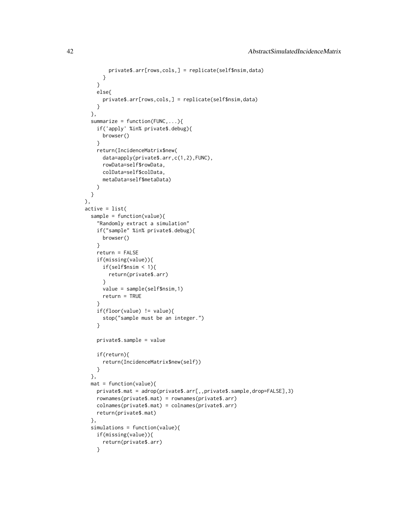```
private$.arr[rows,cols,] = replicate(self$nsim,data)
     }
    }
    else{
     private$.arr[rows,cols,] = replicate(self$nsim,data)
    }
  },
  summarize = function(FUNC,...){
    if('apply' %in% private$.debug){
     browser()
    }
    return(IncidenceMatrix$new(
      data=apply(private$.arr,c(1,2),FUNC),
      rowData=self$rowData,
      colData=self$colData,
     metaData=self$metaData)
    )
 }
),
active = list(
 sample = function(value){
    "Randomly extract a simulation"
    if("sample" %in% private$.debug){
     browser()
    }
    return = FALSE
    if(missing(value)){
     if(self$nsim < 1){
        return(private$.arr)
      }
     value = sample(self$nsim,1)
     return = TRUE
    }
    if(floor(value) != value){
     stop("sample must be an integer.")
    }
    private$.sample = value
    if(return){
      return(IncidenceMatrix$new(self))
    }
  },
  mat = function(value){
    private$.mat = adrop(private$.arr[,,private$.sample,drop=FALSE],3)
    rownames(private$.mat) = rownames(private$.arr)
    colnames(private$.mat) = colnames(private$.arr)
    return(private$.mat)
  },
  simulations = function(value){
    if(missing(value)){
     return(private$.arr)
    }
```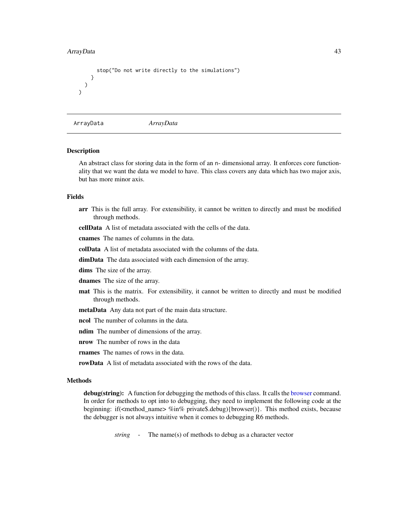#### ArrayData 43

```
stop("Do not write directly to the simulations")
    }
  )
\mathcal{L}
```
<span id="page-42-0"></span>ArrayData *ArrayData*

## Description

An abstract class for storing data in the form of an n- dimensional array. It enforces core functionality that we want the data we model to have. This class covers any data which has two major axis, but has more minor axis.

## Fields

arr This is the full array. For extensibility, it cannot be written to directly and must be modified through methods.

cellData A list of metadata associated with the cells of the data.

cnames The names of columns in the data.

colData A list of metadata associated with the columns of the data.

dimData The data associated with each dimension of the array.

dims The size of the array.

dnames The size of the array.

mat This is the matrix. For extensibility, it cannot be written to directly and must be modified through methods.

metaData Any data not part of the main data structure.

ncol The number of columns in the data.

ndim The number of dimensions of the array.

nrow The number of rows in the data

**rnames** The names of rows in the data.

rowData A list of metadata associated with the rows of the data.

# Methods

debug(string): A function for debugging the methods of this class. It calls the [browser](#page-0-0) command. In order for methods to opt into to debugging, they need to implement the following code at the beginning: if(<method\_name> %in% private\$.debug){browser()}. This method exists, because the debugger is not always intuitive when it comes to debugging R6 methods.

*string* - The name(s) of methods to debug as a character vector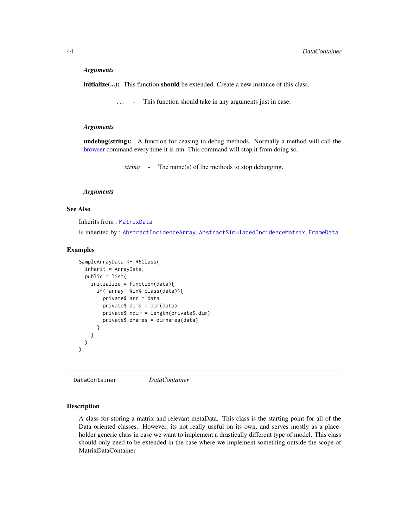## *Arguments*

initialize(...): This function should be extended. Create a new instance of this class.

*. . .* - This function should take in any arguments just in case.

#### *Arguments*

undebug(string): A function for ceasing to debug methods. Normally a method will call the [browser](#page-0-0) command every time it is run. This command will stop it from doing so.

*string* - The name(s) of the methods to stop debugging.

## *Arguments*

# See Also

Inherits from : [MatrixData](#page-56-0)

Is inherited by : [AbstractIncidenceArray](#page-1-0), [AbstractSimulatedIncidenceMatrix](#page-29-0), [FrameData](#page-48-0)

## Examples

```
SampleArrayData <- R6Class(
 inherit = ArrayData,
 public = list(
    initialize = function(data){
      if('array' %in% class(data)){
        private$.arr = data
        private$.dims = dim(data)
        private$.ndim = length(private$.dim)
        private$.dnames = dimnames(data)
      }
   }
 \lambda)
```
<span id="page-43-0"></span>DataContainer *DataContainer*

## **Description**

A class for storing a matrix and relevant metaData. This class is the starting point for all of the Data oriented classes. However, its not really useful on its own, and serves mostly as a placeholder generic class in case we want to implement a drastically different type of model. This class should only need to be extended in the case where we implement something outside the scope of MatrixDataContainer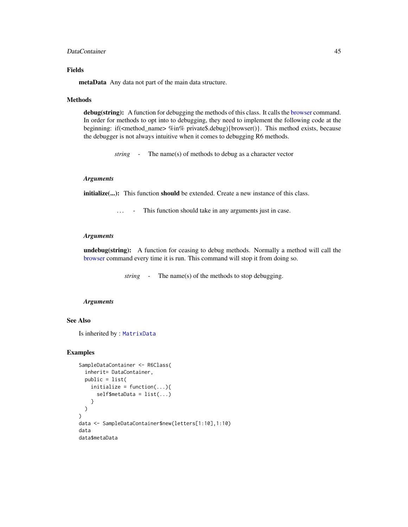## DataContainer 45

# Fields

metaData Any data not part of the main data structure.

#### Methods

debug(string): A function for debugging the methods of this class. It calls the [browser](#page-0-0) command. In order for methods to opt into to debugging, they need to implement the following code at the beginning: if(<method\_name> %in% private\$.debug){browser()}. This method exists, because the debugger is not always intuitive when it comes to debugging R6 methods.

*string* - The name(s) of methods to debug as a character vector

#### *Arguments*

initialize(...): This function should be extended. Create a new instance of this class.

*. . .* - This function should take in any arguments just in case.

#### *Arguments*

undebug(string): A function for ceasing to debug methods. Normally a method will call the [browser](#page-0-0) command every time it is run. This command will stop it from doing so.

*string* - The name(s) of the methods to stop debugging.

#### *Arguments*

## See Also

Is inherited by : [MatrixData](#page-56-0)

```
SampleDataContainer <- R6Class(
 inherit= DataContainer,
 public = list(
   initialize = function(...)self$metaData = list(...)}
 )
)
data <- SampleDataContainer$new(letters[1:10],1:10)
data
data$metaData
```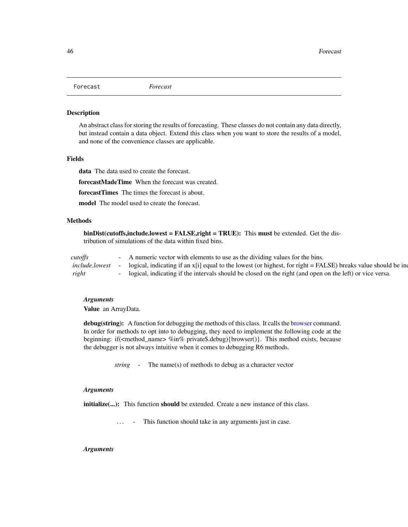<span id="page-45-0"></span>

# Description

An abstract class for storing the results of forecasting. These classes do not contain any data directly, but instead contain a data object. Extend this class when you want to store the results of a model, and none of the convenience classes are applicable.

## Fields

data The data used to create the forecast.

forecastMadeTime When the forecast was created.

forecastTimes The times the forecast is about.

model The model used to create the forecast.

## Methods

binDist(cutoffs,include.lowest = FALSE,right = TRUE): This must be extended. Get the distribution of simulations of the data within fixed bins.

| cutoffs        | - A numeric vector with elements to use as the dividing values for the bins.                                   |
|----------------|----------------------------------------------------------------------------------------------------------------|
| include.lowest | logical, indicating if an $x[i]$ equal to the lowest (or highest, for right = FALSE) breaks value should be in |
| right          | - logical, indicating if the intervals should be closed on the right (and open on the left) or vice versa.     |

## *Arguments*

Value an ArrayData.

debug(string): A function for debugging the methods of this class. It calls the [browser](#page-0-0) command. In order for methods to opt into to debugging, they need to implement the following code at the beginning: if(<method\_name> %in% private\$.debug){browser()}. This method exists, because the debugger is not always intuitive when it comes to debugging R6 methods.

*string* - The name(s) of methods to debug as a character vector

#### *Arguments*

initialize(...): This function should be extended. Create a new instance of this class.

*. . .* - This function should take in any arguments just in case.

## *Arguments*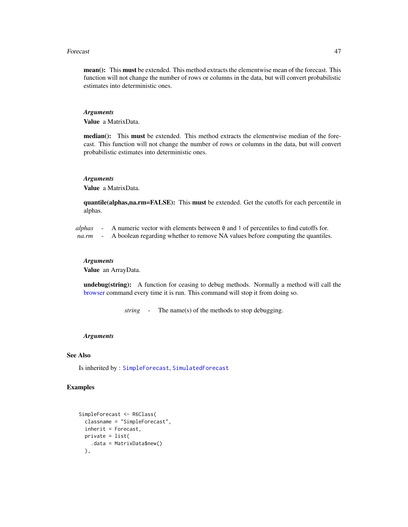#### Forecast **47**

mean(): This must be extended. This method extracts the elementwise mean of the forecast. This function will not change the number of rows or columns in the data, but will convert probabilistic estimates into deterministic ones.

## *Arguments*

Value a MatrixData.

median(): This must be extended. This method extracts the elementwise median of the forecast. This function will not change the number of rows or columns in the data, but will convert probabilistic estimates into deterministic ones.

# *Arguments*

Value a MatrixData.

quantile(alphas,na.rm=FALSE): This must be extended. Get the cutoffs for each percentile in alphas.

*alphas* - A numeric vector with elements between 0 and 1 of percentiles to find cutoffs for. *na.rm* - A boolean regarding whether to remove NA values before computing the quantiles.

#### *Arguments*

Value an ArrayData.

undebug(string): A function for ceasing to debug methods. Normally a method will call the [browser](#page-0-0) command every time it is run. This command will stop it from doing so.

*string* - The name(s) of the methods to stop debugging.

# *Arguments*

# See Also

Is inherited by : [SimpleForecast](#page-68-0), [SimulatedForecast](#page-70-0)

```
SimpleForecast <- R6Class(
 classname = "SimpleForecast",
 inherit = Forecast,
 private = list(
   .data = MatrixData$new()
 ),
```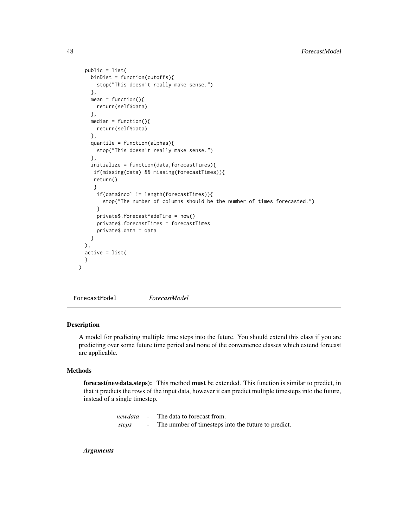```
public = list(
  binDist = function(cutoffs){
    stop("This doesn't really make sense.")
  },
 mean = function()return(self$data)
  },
  median = function()return(self$data)
  },
  quantile = function(alphas){
    stop("This doesn't really make sense.")
  },
  initialize = function(data,forecastTimes){
   if(missing(data) && missing(forecastTimes)){
   return()
   }
    if(data$ncol != length(forecastTimes)){
      stop("The number of columns should be the number of times forecasted.")
    }
    private$.forecastMadeTime = now()
    private$.forecastTimes = forecastTimes
    private$.data = data
  }
),
active = list(
)
```
ForecastModel *ForecastModel*

## Description

)

A model for predicting multiple time steps into the future. You should extend this class if you are predicting over some future time period and none of the convenience classes which extend forecast are applicable.

## Methods

forecast(newdata,steps): This method must be extended. This function is similar to predict, in that it predicts the rows of the input data, however it can predict multiple timesteps into the future, instead of a single timestep.

> *newdata* - The data to forecast from. *steps* - The number of timesteps into the future to predict.

## *Arguments*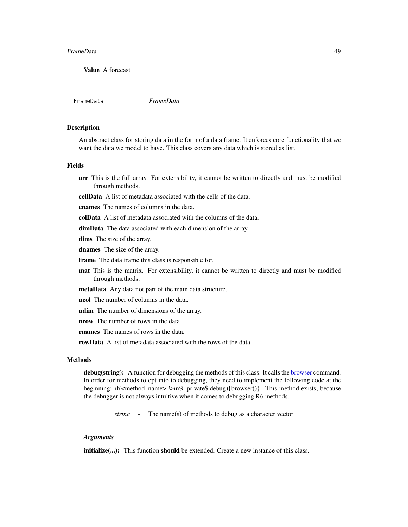#### FrameData 49

Value A forecast

<span id="page-48-0"></span>FrameData *FrameData*

## Description

An abstract class for storing data in the form of a data frame. It enforces core functionality that we want the data we model to have. This class covers any data which is stored as list.

## Fields

- arr This is the full array. For extensibility, it cannot be written to directly and must be modified through methods.
- cellData A list of metadata associated with the cells of the data.

cnames The names of columns in the data.

colData A list of metadata associated with the columns of the data.

dimData The data associated with each dimension of the array.

dims The size of the array.

dnames The size of the array.

frame The data frame this class is responsible for.

- mat This is the matrix. For extensibility, it cannot be written to directly and must be modified through methods.
- metaData Any data not part of the main data structure.
- ncol The number of columns in the data.
- ndim The number of dimensions of the array.
- nrow The number of rows in the data
- **rnames** The names of rows in the data.

rowData A list of metadata associated with the rows of the data.

#### Methods

debug(string): A function for debugging the methods of this class. It calls the [browser](#page-0-0) command. In order for methods to opt into to debugging, they need to implement the following code at the beginning: if(<method\_name> %in% private\$.debug){browser()}. This method exists, because the debugger is not always intuitive when it comes to debugging R6 methods.

*string* - The name(s) of methods to debug as a character vector

#### *Arguments*

initialize(...): This function should be extended. Create a new instance of this class.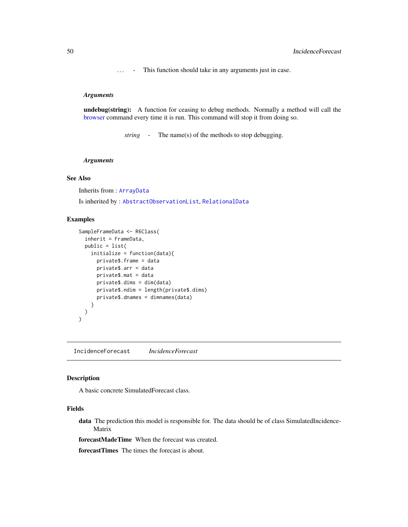*. . .* - This function should take in any arguments just in case.

## *Arguments*

undebug(string): A function for ceasing to debug methods. Normally a method will call the [browser](#page-0-0) command every time it is run. This command will stop it from doing so.

*string* - The name(s) of the methods to stop debugging.

## *Arguments*

## See Also

Inherits from : [ArrayData](#page-42-0)

Is inherited by : [AbstractObservationList](#page-17-0), [RelationalData](#page-66-0)

# Examples

```
SampleFrameData <- R6Class(
 inherit = FrameData,
 public = list(
   initialize = function(data){
     private$.frame = data
     private$.arr = data
     private$.mat = data
     private$.dims = dim(data)
     private$.ndim = length(private$.dims)
     private$.dnames = dimnames(data)
   }
 )
)
```
IncidenceForecast *IncidenceForecast*

# Description

A basic concrete SimulatedForecast class.

# Fields

data The prediction this model is responsible for. The data should be of class SimulatedIncidence-Matrix

forecastMadeTime When the forecast was created.

forecastTimes The times the forecast is about.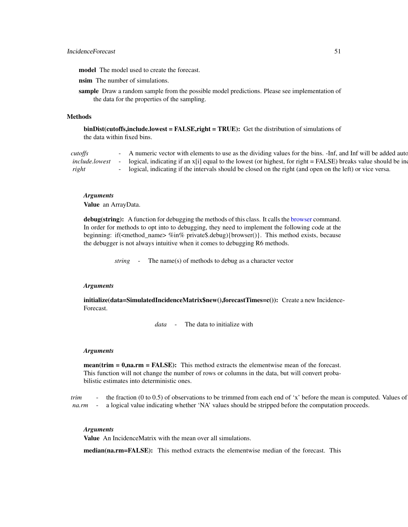model The model used to create the forecast.

nsim The number of simulations.

sample Draw a random sample from the possible model predictions. Please see implementation of the data for the properties of the sampling.

# Methods

binDist(cutoffs,include.lowest = FALSE,right = TRUE): Get the distribution of simulations of the data within fixed bins.

*cutoffs* - A numeric vector with elements to use as the dividing values for the bins. -Inf, and Inf will be added automatically *include.lowest* - logical, indicating if an x[i] equal to the lowest (or highest, for right = FALSE) breaks value should be in *right* - logical, indicating if the intervals should be closed on the right (and open on the left) or vice versa.

#### *Arguments*

Value an ArrayData.

debug(string): A function for debugging the methods of this class. It calls the [browser](#page-0-0) command. In order for methods to opt into to debugging, they need to implement the following code at the beginning: if(<method\_name> %in% private\$.debug){browser()}. This method exists, because the debugger is not always intuitive when it comes to debugging R6 methods.

*string* - The name(s) of methods to debug as a character vector

## *Arguments*

initialize(data=SimulatedIncidenceMatrix\$new(),forecastTimes=c()): Create a new Incidence-Forecast.

*data* - The data to initialize with

#### *Arguments*

 $mean(trim = 0, \text{na}.\text{rm} = FALSE)$ : This method extracts the elementwise mean of the forecast. This function will not change the number of rows or columns in the data, but will convert probabilistic estimates into deterministic ones.

*trim* - the fraction (0 to 0.5) of observations to be trimmed from each end of 'x' before the mean is computed. Values of *na.rm* - a logical value indicating whether 'NA' values should be stripped before the computation proceeds.

#### *Arguments*

Value An IncidenceMatrix with the mean over all simulations.

median(na.rm=FALSE): This method extracts the elementwise median of the forecast. This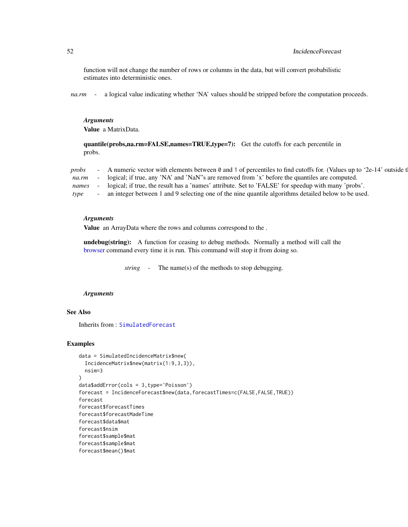# 52 IncidenceForecast

function will not change the number of rows or columns in the data, but will convert probabilistic estimates into deterministic ones.

*na.rm* - a logical value indicating whether 'NA' values should be stripped before the computation proceeds.

# *Arguments*

Value a MatrixData.

```
quantile(probs,na.rm=FALSE,names=TRUE,type=7): Get the cutoffs for each percentile in
probs.
```
*probs* - A numeric vector with elements between 0 and 1 of percentiles to find cutoffs for. (Values up to '2e-14' outside t *na.rm* - logical; if true, any 'NA' and 'NaN''s are removed from 'x' before the quantiles are computed. *names* - logical; if true, the result has a 'names' attribute. Set to 'FALSE' for speedup with many 'probs'. *type* - an integer between 1 and 9 selecting one of the nine quantile algorithms detailed below to be used.

## *Arguments*

Value an ArrayData where the rows and columns correspond to the .

undebug(string): A function for ceasing to debug methods. Normally a method will call the [browser](#page-0-0) command every time it is run. This command will stop it from doing so.

*string* - The name(s) of the methods to stop debugging.

# *Arguments*

# See Also

Inherits from : [SimulatedForecast](#page-70-0)

```
data = SimulatedIncidenceMatrix$new(
 IncidenceMatrix$new(matrix(1:9,3,3)),
 nsim=3
)
data$addError(cols = 3,type='Poisson')
forecast = IncidenceForecast$new(data,forecastTimes=c(FALSE,FALSE,TRUE))
forecast
forecast$forecastTimes
forecast$forecastMadeTime
forecast$data$mat
forecast$nsim
forecast$sample$mat
forecast$sample$mat
forecast$mean()$mat
```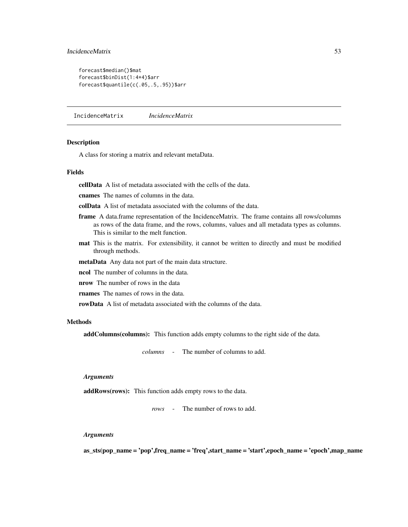# IncidenceMatrix 53

```
forecast$median()$mat
forecast$binDist(1:4*4)$arr
forecast$quantile(c(.05,.5,.95))$arr
```
IncidenceMatrix *IncidenceMatrix*

## Description

A class for storing a matrix and relevant metaData.

# Fields

cellData A list of metadata associated with the cells of the data.

cnames The names of columns in the data.

colData A list of metadata associated with the columns of the data.

- frame A data.frame representation of the IncidenceMatrix. The frame contains all rows/columns as rows of the data frame, and the rows, columns, values and all metadata types as columns. This is similar to the melt function.
- mat This is the matrix. For extensibility, it cannot be written to directly and must be modified through methods.

metaData Any data not part of the main data structure.

ncol The number of columns in the data.

nrow The number of rows in the data

rnames The names of rows in the data.

rowData A list of metadata associated with the columns of the data.

# **Methods**

addColumns(columns): This function adds empty columns to the right side of the data.

*columns* - The number of columns to add.

## *Arguments*

addRows(rows): This function adds empty rows to the data.

*rows* - The number of rows to add.

## *Arguments*

as\_sts(pop\_name = 'pop',freq\_name = 'freq',start\_name = 'start',epoch\_name = 'epoch',map\_name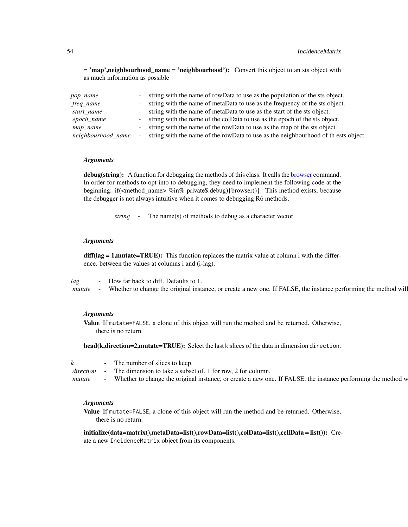= 'map',neighbourhood\_name = 'neighbourhood'): Convert this object to an sts object with as much information as possible

| pop_name           |        | - string with the name of rowData to use as the population of the sts object.     |
|--------------------|--------|-----------------------------------------------------------------------------------|
| freq_name          |        | - string with the name of metaData to use as the frequency of the sts object.     |
| start name         |        | - string with the name of metaData to use as the start of the sts object.         |
| epoch_name         |        | - string with the name of the colData to use as the epoch of the sts object.      |
| map_name           |        | - string with the name of the rowData to use as the map of the sts object.        |
| neighbourhood_name | $\sim$ | string with the name of the rowData to use as the neighbourhood of thests object. |

## *Arguments*

debug(string): A function for debugging the methods of this class. It calls the [browser](#page-0-0) command. In order for methods to opt into to debugging, they need to implement the following code at the beginning: if(<method\_name> %in% private\$.debug){browser()}. This method exists, because the debugger is not always intuitive when it comes to debugging R6 methods.

*string* - The name(s) of methods to debug as a character vector

## *Arguments*

 $diff(lag = 1, mutate=TRUE)$ : This function replaces the matrix value at column i with the difference. between the values at columns i and (i-lag).

*lag* - How far back to diff. Defaults to 1.

*mutate* - Whether to change the original instance, or create a new one. If FALSE, the instance performing the method will

## *Arguments*

Value If mutate=FALSE, a clone of this object will run the method and be returned. Otherwise, there is no return.

head(k,direction=2,mutate=TRUE): Select the last k slices of the data in dimension direction.

*k* - The number of slices to keep.

*direction* - The dimension to take a subset of. 1 for row, 2 for column.

*mutate* - Whether to change the original instance, or create a new one. If FALSE, the instance performing the method w

#### *Arguments*

Value If mutate=FALSE, a clone of this object will run the method and be returned. Otherwise, there is no return.

initialize(data=matrix(),metaData=list(),rowData=list(),colData=list(),cellData = list()): Create a new IncidenceMatrix object from its components.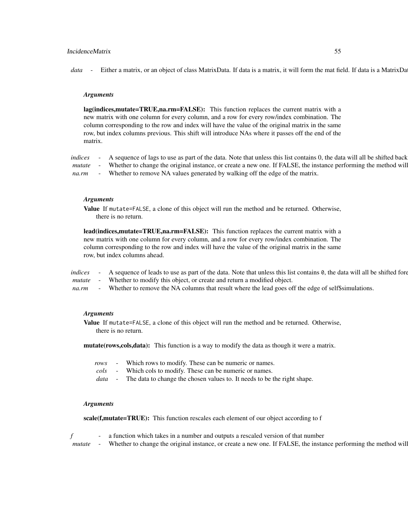#### IncidenceMatrix 55

*data* - Either a matrix, or an object of class MatrixData. If data is a matrix, it will form the mat field. If data is a MatrixDa

## *Arguments*

lag(indices,mutate=TRUE,na.rm=FALSE): This function replaces the current matrix with a new matrix with one column for every column, and a row for every row/index combination. The column corresponding to the row and index will have the value of the original matrix in the same row, but index columns previous. This shift will introduce NAs where it passes off the end of the matrix.

*indices* - A sequence of lags to use as part of the data. Note that unless this list contains 0, the data will all be shifted back *mutate* - Whether to change the original instance, or create a new one. If FALSE, the instance performing the method will *na.rm* - Whether to remove NA values generated by walking off the edge of the matrix.

#### *Arguments*

Value If mutate=FALSE, a clone of this object will run the method and be returned. Otherwise, there is no return.

lead(indices,mutate=TRUE,na.rm=FALSE): This function replaces the current matrix with a new matrix with one column for every column, and a row for every row/index combination. The column corresponding to the row and index will have the value of the original matrix in the same row, but index columns ahead.

*indices* - A sequence of leads to use as part of the data. Note that unless this list contains 0, the data will all be shifted fore

*mutate* - Whether to modify this object, or create and return a modified object.

*na.rm* - Whether to remove the NA columns that result where the lead goes off the edge of self\$simulations.

## *Arguments*

Value If mutate=FALSE, a clone of this object will run the method and be returned. Otherwise, there is no return.

mutate(rows,cols,data): This function is a way to modify the data as though it were a matrix.

- *rows* Which rows to modify. These can be numeric or names.
- *cols* Which cols to modify. These can be numeric or names.
- *data* The data to change the chosen values to. It needs to be the right shape.

#### *Arguments*

scale(f, mutate=TRUE): This function rescales each element of our object according to f

*f* - a function which takes in a number and outputs a rescaled version of that number *mutate* - Whether to change the original instance, or create a new one. If FALSE, the instance performing the method will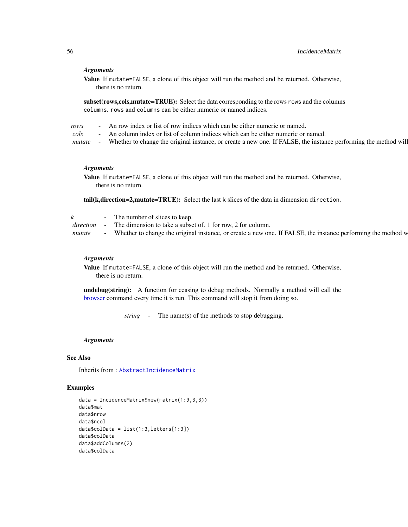## *Arguments*

Value If mutate=FALSE, a clone of this object will run the method and be returned. Otherwise, there is no return.

subset(rows,cols,mutate=TRUE): Select the data corresponding to the rows rows and the columns columns. rows and columns can be either numeric or named indices.

| rows | - An row index or list of row indices which can be either numeric or named.                                                    |
|------|--------------------------------------------------------------------------------------------------------------------------------|
| cols | - An column index or list of column indices which can be either numeric or named.                                              |
|      | <i>mutate</i> - Whether to change the original instance, or create a new one. If FALSE, the instance performing the method wil |

#### *Arguments*

Value If mutate=FALSE, a clone of this object will run the method and be returned. Otherwise, there is no return.

tail(k,direction=2,mutate=TRUE): Select the last k slices of the data in dimension direction.

|           | The number of slices to keep.                                                                                |  |
|-----------|--------------------------------------------------------------------------------------------------------------|--|
| direction | The dimension to take a subset of. 1 for row, 2 for column.                                                  |  |
| mutate    | Whether to change the original instance, or create a new one. If FALSE, the instance performing the method w |  |

#### *Arguments*

Value If mutate=FALSE, a clone of this object will run the method and be returned. Otherwise, there is no return.

undebug(string): A function for ceasing to debug methods. Normally a method will call the [browser](#page-0-0) command every time it is run. This command will stop it from doing so.

*string* - The name(s) of the methods to stop debugging.

## *Arguments*

# See Also

Inherits from : [AbstractIncidenceMatrix](#page-4-0)

```
data = IncidenceMatrix$new(matrix(1:9,3,3))
data$mat
data$nrow
data$ncol
data$colData = list(1:3,letters[1:3])
data$colData
data$addColumns(2)
data$colData
```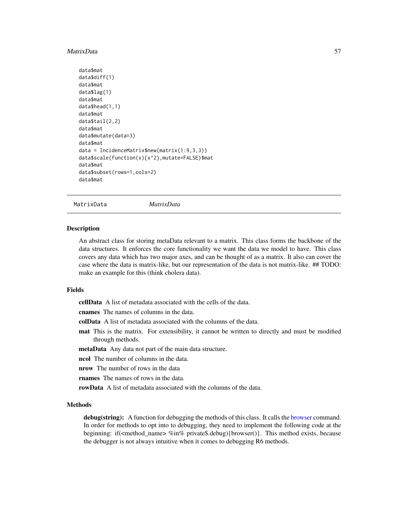#### MatrixData 57

```
data$mat
data$diff(1)
data$mat
data$lag(1)
data$mat
data$head(1,1)
data$mat
data$tail(2,2)
data$mat
data$mutate(data=3)
data$mat
data = IncidenceMatrix$new(matrix(1:9,3,3))
data$scale(function(x){x^2},mutate=FALSE)$mat
data$mat
data$subset(rows=1,cols=2)
data$mat
```
<span id="page-56-0"></span>MatrixData *MatrixData*

#### **Description**

An abstract class for storing metaData relevant to a matrix. This class forms the backbone of the data structures. It enforces the core functionality we want the data we model to have. This class covers any data which has two major axes, and can be thought of as a matrix. It also can cover the case where the data is matrix-like, but our representation of the data is not matrix-like. ## TODO: make an example for this (think cholera data).

## Fields

cellData A list of metadata associated with the cells of the data.

cnames The names of columns in the data.

colData A list of metadata associated with the columns of the data.

mat This is the matrix. For extensibility, it cannot be written to directly and must be modified through methods.

metaData Any data not part of the main data structure.

ncol The number of columns in the data.

nrow The number of rows in the data

rnames The names of rows in the data.

rowData A list of metadata associated with the columns of the data.

## Methods

debug(string): A function for debugging the methods of this class. It calls the [browser](#page-0-0) command. In order for methods to opt into to debugging, they need to implement the following code at the beginning: if(<method\_name> %in% private\$.debug){browser()}. This method exists, because the debugger is not always intuitive when it comes to debugging R6 methods.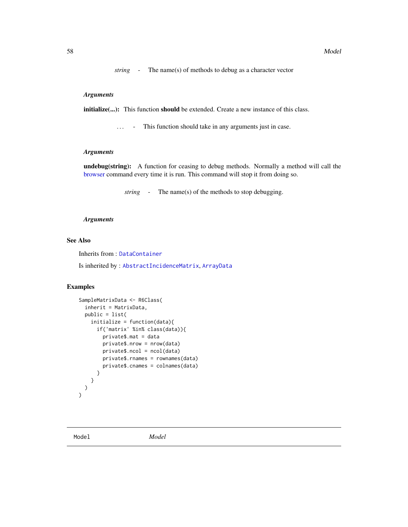*string* - The name(s) of methods to debug as a character vector

### *Arguments*

initialize(...): This function should be extended. Create a new instance of this class.

*. . .* - This function should take in any arguments just in case.

## *Arguments*

undebug(string): A function for ceasing to debug methods. Normally a method will call the [browser](#page-0-0) command every time it is run. This command will stop it from doing so.

*string* - The name(s) of the methods to stop debugging.

#### *Arguments*

## See Also

Inherits from : [DataContainer](#page-43-0)

Is inherited by : [AbstractIncidenceMatrix](#page-4-0), [ArrayData](#page-42-0)

```
SampleMatrixData <- R6Class(
 inherit = MatrixData,
 public = list(
    initialize = function(data){
     if('matrix' %in% class(data)){
       private$.mat = data
       private$.nrow = nrow(data)
       private$.ncol = ncol(data)
       private$.rnames = rownames(data)
       private$.cnames = colnames(data)
     }
   }
 )
)
```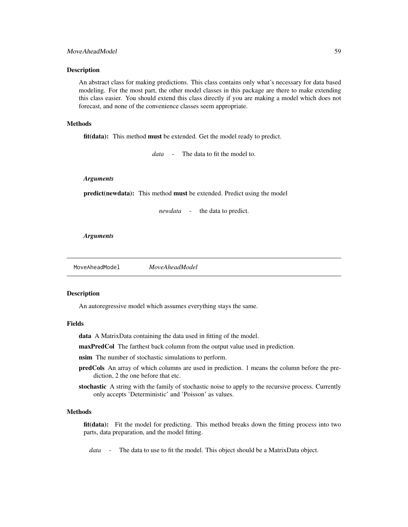## Description

An abstract class for making predictions. This class contains only what's necessary for data based modeling. For the most part, the other model classes in this package are there to make extending this class easier. You should extend this class directly if you are making a model which does not forecast, and none of the convenience classes seem appropriate.

## Methods

fit(data): This method must be extended. Get the model ready to predict.

*data* - The data to fit the model to.

#### *Arguments*

predict(newdata): This method must be extended. Predict using the model

*newdata* - the data to predict.

*Arguments*

<span id="page-58-0"></span>MoveAheadModel *MoveAheadModel*

#### Description

An autoregressive model which assumes everything stays the same.

# Fields

data A MatrixData containing the data used in fitting of the model.

maxPredCol The farthest back column from the output value used in prediction.

nsim The number of stochastic simulations to perform.

- predCols An array of which columns are used in prediction. 1 means the column before the prediction, 2 the one before that etc.
- stochastic A string with the family of stochastic noise to apply to the recursive process. Currently only accepts 'Deterministic' and 'Poisson' as values.

# Methods

fit(data): Fit the model for predicting. This method breaks down the fitting process into two parts, data preparation, and the model fitting.

*data* - The data to use to fit the model. This object should be a MatrixData object.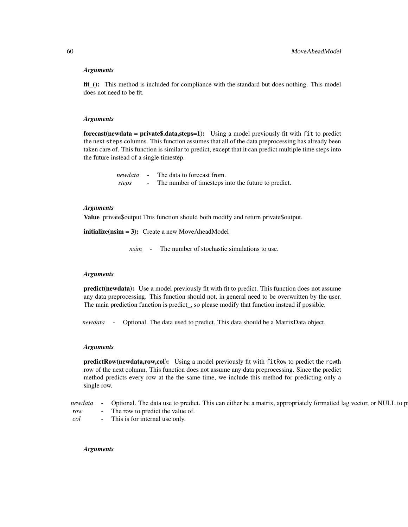#### *Arguments*

fit\_(): This method is included for compliance with the standard but does nothing. This model does not need to be fit.

#### *Arguments*

forecast(newdata = private\$.data,steps=1): Using a model previously fit with fit to predict the next steps columns. This function assumes that all of the data preprocessing has already been taken care of. This function is similar to predict, except that it can predict multiple time steps into the future instead of a single timestep.

| newdata | The data to forecast from.                          |
|---------|-----------------------------------------------------|
| steps   | The number of timesteps into the future to predict. |

#### *Arguments*

Value private\$output This function should both modify and return private\$output.

initialize(nsim = 3): Create a new MoveAheadModel

*nsim* - The number of stochastic simulations to use.

#### *Arguments*

predict(newdata): Use a model previously fit with fit to predict. This function does not assume any data preprocessing. This function should not, in general need to be overwritten by the user. The main prediction function is predict\_, so please modify that function instead if possible.

*newdata* - Optional. The data used to predict. This data should be a MatrixData object.

#### *Arguments*

predictRow(newdata,row,col): Using a model previously fit with fitRow to predict the rowth row of the next column. This function does not assume any data preprocessing. Since the predict method predicts every row at the the same time, we include this method for predicting only a single row.

*newdata* - Optional. The data use to predict. This can either be a matrix, appropriately formatted lag vector, or NULL to p *row* - The row to predict the value of. *col* - This is for internal use only.

## *Arguments*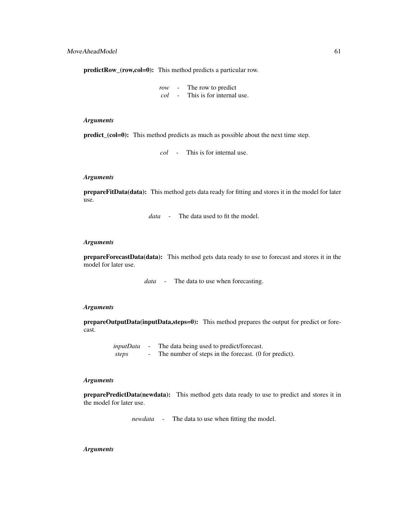predictRow\_(row,col=0): This method predicts a particular row.

*row* - The row to predict *col* - This is for internal use.

## *Arguments*

predict\_(col=0): This method predicts as much as possible about the next time step.

*col* - This is for internal use.

## *Arguments*

prepareFitData(data): This method gets data ready for fitting and stores it in the model for later use.

*data* - The data used to fit the model.

## *Arguments*

prepareForecastData(data): This method gets data ready to use to forecast and stores it in the model for later use.

*data* - The data to use when forecasting.

# *Arguments*

prepareOutputData(inputData,steps=0): This method prepares the output for predict or forecast.

> *inputData* - The data being used to predict/forecast. *steps* - The number of steps in the forecast. (0 for predict).

# *Arguments*

preparePredictData(newdata): This method gets data ready to use to predict and stores it in the model for later use.

*newdata* - The data to use when fitting the model.

## *Arguments*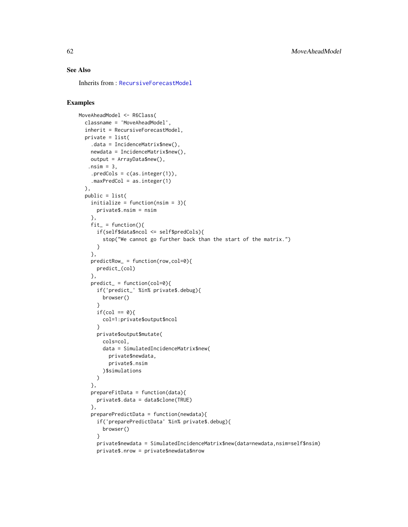# See Also

Inherits from : [RecursiveForecastModel](#page-63-0)

```
MoveAheadModel <- R6Class(
  classname = 'MoveAheadModel',
  inherit = RecursiveForecastModel,
  private = list(
    .data = IncidenceMatrix$new(),
   newdata = IncidenceMatrix$new(),
   output = ArrayData$new(),
   nsim = 3,
   .predCols = c(as.integer(1)),.maxPredCol = as.integer(1)
  ),
  public = list(
    initialize = function(nsim = 3){
     private$.nsim = nsim
    },
    fit = function()if(self$data$ncol <= self$predCols){
       stop("We cannot go further back than the start of the matrix.")
      }
    },
    predictRow_ = function(row,col=0){
      predict_(col)
    },
   predict_ = function(col=0)if('predict_' %in% private$.debug){
       browser()
      }
      if(col == 0)col=1:private$output$ncol
      }
      private$output$mutate(
       cols=col,
       data = SimulatedIncidenceMatrix$new(
         private$newdata,
         private$.nsim
       )$simulations
      )
    },
   prepareFitData = function(data){
      private$.data = data$clone(TRUE)
    },
    preparePredictData = function(newdata){
      if('preparePredictData' %in% private$.debug){
        browser()
      }
      private$newdata = SimulatedIncidenceMatrix$new(data=newdata,nsim=self$nsim)
      private$.nrow = private$newdata$nrow
```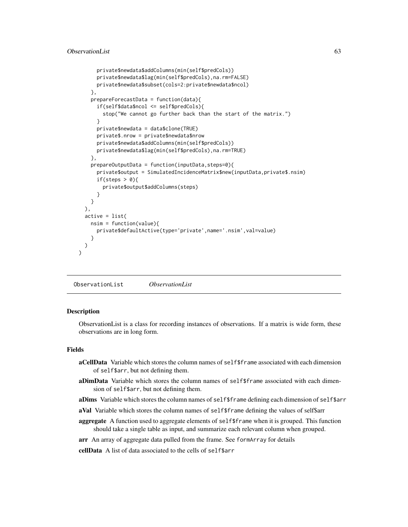```
private$newdata$addColumns(min(self$predCols))
    private$newdata$lag(min(self$predCols),na.rm=FALSE)
    private$newdata$subset(cols=2:private$newdata$ncol)
  },
  prepareForecastData = function(data){
    if(self$data$ncol <= self$predCols){
      stop("We cannot go further back than the start of the matrix.")
    }
    private$newdata = data$clone(TRUE)
    private$.nrow = private$newdata$nrow
    private$newdata$addColumns(min(self$predCols))
    private$newdata$lag(min(self$predCols),na.rm=TRUE)
  },
  prepareOutputData = function(inputData,steps=0){
    private$output = SimulatedIncidenceMatrix$new(inputData,private$.nsim)
    if(steps > 0){
      private$output$addColumns(steps)
    }
  }
),
active = list(
  nsim = function(value){
    private$defaultActive(type='private',name='.nsim',val=value)
  }
)
```
ObservationList *ObservationList*

# Description

)

ObservationList is a class for recording instances of observations. If a matrix is wide form, these observations are in long form.

#### Fields

- aCellData Variable which stores the column names of self\$frame associated with each dimension of self\$arr, but not defining them.
- aDimData Variable which stores the column names of self\$frame associated with each dimension of self\$arr, but not defining them.
- aDims Variable which stores the column names of self\$frame defining each dimension of self\$arr
- aVal Variable which stores the column names of self\$frame defining the values of self\$arr
- aggregate A function used to aggregate elements of self\$frame when it is grouped. This function should take a single table as input, and summarize each relevant column when grouped.
- arr An array of aggregate data pulled from the frame. See formArray for details

cellData A list of data associated to the cells of self\$arr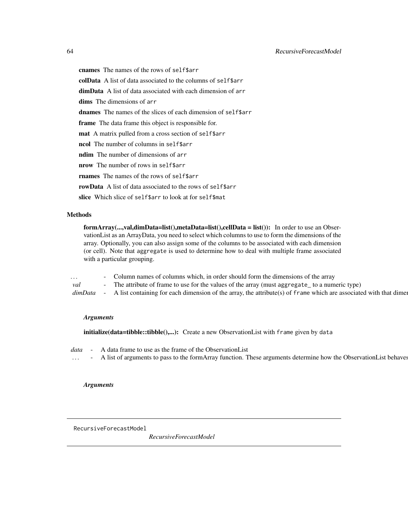cnames The names of the rows of self\$arr colData A list of data associated to the columns of self\$arr dimData A list of data associated with each dimension of arr dims The dimensions of arr dnames The names of the slices of each dimension of self\$arr frame The data frame this object is responsible for. mat A matrix pulled from a cross section of self\$arr ncol The number of columns in self\$arr ndim The number of dimensions of arr nrow The number of rows in self\$arr rnames The names of the rows of self\$arr rowData A list of data associated to the rows of self\$arr slice Which slice of self\$arr to look at for self\$mat

#### **Methods**

formArray(...,val,dimData=list(),metaData=list(),cellData = list()): In order to use an ObservationList as an ArrayData, you need to select which columns to use to form the dimensions of the array. Optionally, you can also assign some of the columns to be associated with each dimension (or cell). Note that aggregate is used to determine how to deal with multiple frame associated with a particular grouping.

| $\cdot$ | - Column names of columns which, in order should form the dimensions of the array                                                  |
|---------|------------------------------------------------------------------------------------------------------------------------------------|
| val     | - The attribute of frame to use for the values of the array (must aggregate to a numeric type)                                     |
|         | <i>dimData</i> - A list containing for each dimension of the array, the attribute(s) of frame which are associated with that dimen |

## *Arguments*

initialize(data=tibble::tibble(),...): Create a new ObservationList with frame given by data

*data* - A data frame to use as the frame of the ObservationList

... - A list of arguments to pass to the formArray function. These arguments determine how the ObservationList behaves

## *Arguments*

<span id="page-63-0"></span>RecursiveForecastModel

*RecursiveForecastModel*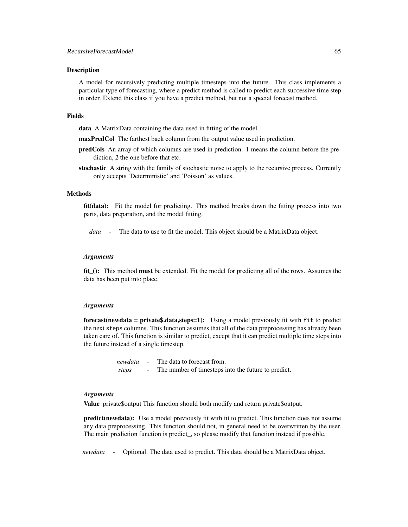#### Description

A model for recursively predicting multiple timesteps into the future. This class implements a particular type of forecasting, where a predict method is called to predict each successive time step in order. Extend this class if you have a predict method, but not a special forecast method.

#### Fields

data A MatrixData containing the data used in fitting of the model.

- maxPredCol The farthest back column from the output value used in prediction.
- predCols An array of which columns are used in prediction. 1 means the column before the prediction, 2 the one before that etc.
- stochastic A string with the family of stochastic noise to apply to the recursive process. Currently only accepts 'Deterministic' and 'Poisson' as values.

# Methods

fit(data): Fit the model for predicting. This method breaks down the fitting process into two parts, data preparation, and the model fitting.

*data* - The data to use to fit the model. This object should be a MatrixData object.

## *Arguments*

fit\_(): This method must be extended. Fit the model for predicting all of the rows. Assumes the data has been put into place.

#### *Arguments*

forecast(newdata = private\$.data,steps=1): Using a model previously fit with fit to predict the next steps columns. This function assumes that all of the data preprocessing has already been taken care of. This function is similar to predict, except that it can predict multiple time steps into the future instead of a single timestep.

> *newdata* - The data to forecast from. *steps* - The number of timesteps into the future to predict.

## *Arguments*

Value private\$output This function should both modify and return private\$output.

predict(newdata): Use a model previously fit with fit to predict. This function does not assume any data preprocessing. This function should not, in general need to be overwritten by the user. The main prediction function is predict\_, so please modify that function instead if possible.

*newdata* - Optional. The data used to predict. This data should be a MatrixData object.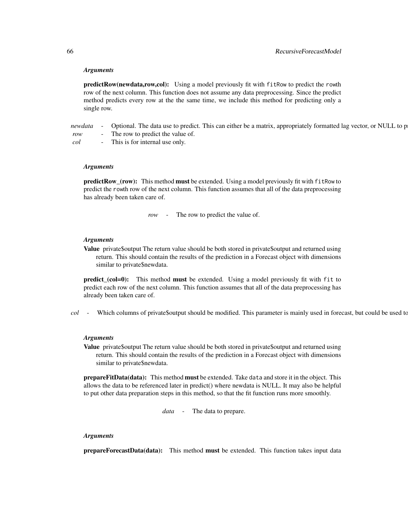#### *Arguments*

predictRow(newdata,row,col): Using a model previously fit with fitRow to predict the rowth row of the next column. This function does not assume any data preprocessing. Since the predict method predicts every row at the the same time, we include this method for predicting only a single row.

*newdata* - Optional. The data use to predict. This can either be a matrix, appropriately formatted lag vector, or NULL to p *row* - The row to predict the value of. *col* - This is for internal use only.

#### *Arguments*

predictRow\_(row): This method must be extended. Using a model previously fit with fitRow to predict the rowth row of the next column. This function assumes that all of the data preprocessing has already been taken care of.

*row* - The row to predict the value of.

#### *Arguments*

Value private\$output The return value should be both stored in private\$output and returned using return. This should contain the results of the prediction in a Forecast object with dimensions similar to private\$newdata.

predict\_(col=0): This method must be extended. Using a model previously fit with fit to predict each row of the next column. This function assumes that all of the data preprocessing has already been taken care of.

 $col$  - Which columns of private soutput should be modified. This parameter is mainly used in forecast, but could be used to

#### *Arguments*

Value private\$output The return value should be both stored in private\$output and returned using return. This should contain the results of the prediction in a Forecast object with dimensions similar to private\$newdata.

prepareFitData(data): This method must be extended. Take data and store it in the object. This allows the data to be referenced later in predict() where newdata is NULL. It may also be helpful to put other data preparation steps in this method, so that the fit function runs more smoothly.

*data* - The data to prepare.

## *Arguments*

prepareForecastData(data): This method must be extended. This function takes input data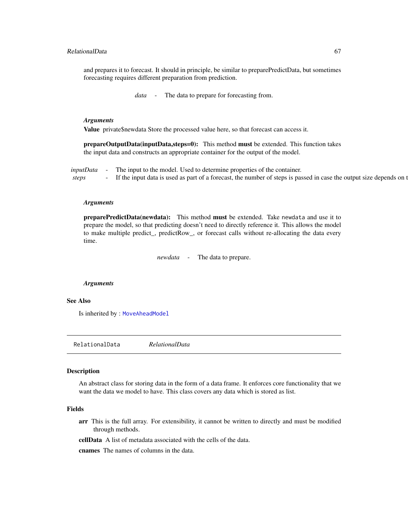and prepares it to forecast. It should in principle, be similar to preparePredictData, but sometimes forecasting requires different preparation from prediction.

*data* - The data to prepare for forecasting from.

#### *Arguments*

Value private\$newdata Store the processed value here, so that forecast can access it.

prepareOutputData(inputData,steps=0): This method must be extended. This function takes the input data and constructs an appropriate container for the output of the model.

*inputData* - The input to the model. Used to determine properties of the container. *steps* - If the input data is used as part of a forecast, the number of steps is passed in case the output size depends on t

#### *Arguments*

preparePredictData(newdata): This method must be extended. Take newdata and use it to prepare the model, so that predicting doesn't need to directly reference it. This allows the model to make multiple predict\_, predictRow\_, or forecast calls without re-allocating the data every time.

*newdata* - The data to prepare.

## *Arguments*

# See Also

Is inherited by : [MoveAheadModel](#page-58-0)

<span id="page-66-0"></span>RelationalData *RelationalData*

#### Description

An abstract class for storing data in the form of a data frame. It enforces core functionality that we want the data we model to have. This class covers any data which is stored as list.

## Fields

arr This is the full array. For extensibility, it cannot be written to directly and must be modified through methods.

cellData A list of metadata associated with the cells of the data.

cnames The names of columns in the data.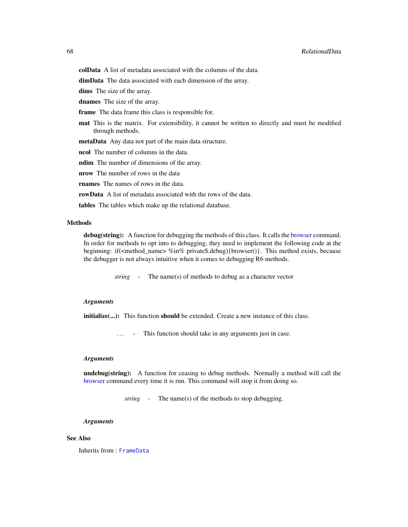dimData The data associated with each dimension of the array.

dims The size of the array.

dnames The size of the array.

frame The data frame this class is responsible for.

mat This is the matrix. For extensibility, it cannot be written to directly and must be modified through methods.

metaData Any data not part of the main data structure.

ncol The number of columns in the data.

ndim The number of dimensions of the array.

nrow The number of rows in the data

rnames The names of rows in the data.

rowData A list of metadata associated with the rows of the data.

tables The tables which make up the relational database.

## Methods

debug(string): A function for debugging the methods of this class. It calls the [browser](#page-0-0) command. In order for methods to opt into to debugging, they need to implement the following code at the beginning: if(<method\_name> %in% private\$.debug){browser()}. This method exists, because the debugger is not always intuitive when it comes to debugging R6 methods.

*string* - The name(s) of methods to debug as a character vector

#### *Arguments*

initialize(...): This function should be extended. Create a new instance of this class.

*. . .* - This function should take in any arguments just in case.

## *Arguments*

undebug(string): A function for ceasing to debug methods. Normally a method will call the [browser](#page-0-0) command every time it is run. This command will stop it from doing so.

*string* - The name(s) of the methods to stop debugging.

#### *Arguments*

## See Also

Inherits from : [FrameData](#page-48-0)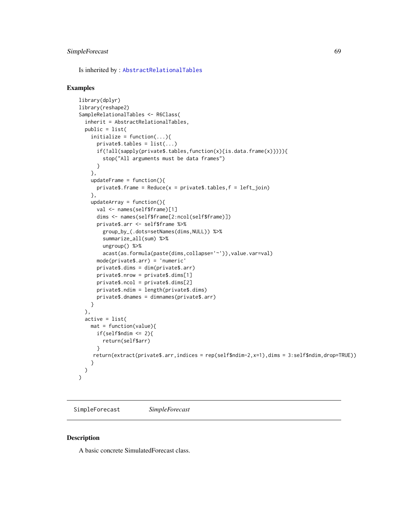# SimpleForecast 69

Is inherited by : [AbstractRelationalTables](#page-27-0)

## Examples

```
library(dplyr)
library(reshape2)
SampleRelationalTables <- R6Class(
  inherit = AbstractRelationalTables,
  public = list(
    initialize = function(...){
      private$.tables = list(...)if(!all(sapply(private$.tables,function(x){is.data.frame(x)}))){
        stop("All arguments must be data frames")
      }
    },
    updateFrame = function(){
     private$.frame = Reduce(x = private$.tables,f = left\_join)},
    updateArray = function()val <- names(self$frame)[1]
      dims <- names(self$frame[2:ncol(self$frame)])
      private$.arr <- self$frame %>%
        group_by_(.dots=setNames(dims,NULL)) %>%
        summarize_all(sum) %>%
        ungroup() %>%
        acast(as.formula(paste(dims,collapse='~')),value.var=val)
      mode(private$.arr) = 'numeric'
      private$.dims = dim(private$.arr)
      private$.nrow = private$.dims[1]
      private$.ncol = private$.dims[2]
      private$.ndim = length(private$.dims)
      private$.dnames = dimnames(private$.arr)
   }
  ),
  active = list(
   mat = function(value){
      if(self$ndim \leq 2){
        return(self$arr)
      }
    return(extract(private$.arr,indices = rep(self$ndim-2,x=1),dims = 3:self$ndim,drop=TRUE))
    }
  )
)
```
<span id="page-68-0"></span>SimpleForecast *SimpleForecast*

## Description

A basic concrete SimulatedForecast class.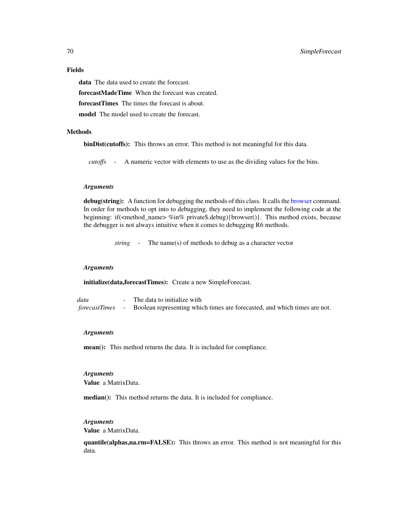# Fields

data The data used to create the forecast.

forecastMadeTime When the forecast was created.

forecastTimes The times the forecast is about.

model The model used to create the forecast.

# Methods

binDist(cutoffs): This throws an error. This method is not meaningful for this data.

*cutoffs* - A numeric vector with elements to use as the dividing values for the bins.

## *Arguments*

debug(string): A function for debugging the methods of this class. It calls the [browser](#page-0-0) command. In order for methods to opt into to debugging, they need to implement the following code at the beginning: if(<method\_name> %in% private\$.debug){browser()}. This method exists, because the debugger is not always intuitive when it comes to debugging R6 methods.

*string* - The name(s) of methods to debug as a character vector

# *Arguments*

initialize(data,forecastTimes): Create a new SimpleForecast.

| data | - The data to initialize with                                                             |
|------|-------------------------------------------------------------------------------------------|
|      | forecastTimes - Boolean representing which times are forecasted, and which times are not. |

# *Arguments*

mean(): This method returns the data. It is included for compliance.

# *Arguments*

Value a MatrixData.

median(): This method returns the data. It is included for compliance.

#### *Arguments*

Value a MatrixData.

quantile(alphas,na.rm=FALSE): This throws an error. This method is not meaningful for this data.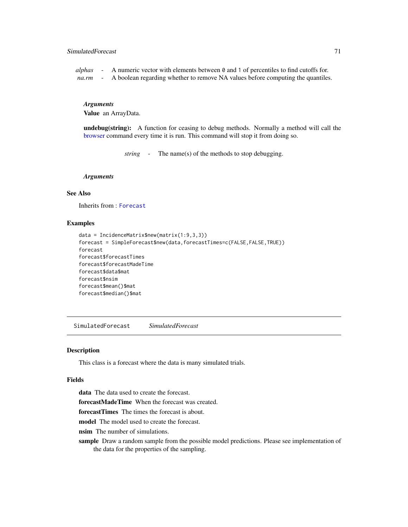*alphas* - A numeric vector with elements between 0 and 1 of percentiles to find cutoffs for. *na.rm* - A boolean regarding whether to remove NA values before computing the quantiles.

#### *Arguments*

Value an ArrayData.

undebug(string): A function for ceasing to debug methods. Normally a method will call the [browser](#page-0-0) command every time it is run. This command will stop it from doing so.

*string* - The name(s) of the methods to stop debugging.

#### *Arguments*

# See Also

Inherits from : [Forecast](#page-45-0)

## Examples

```
data = IncidenceMatrix$new(matrix(1:9,3,3))
forecast = SimpleForecast$new(data,forecastTimes=c(FALSE,FALSE,TRUE))
forecast
forecast$forecastTimes
forecast$forecastMadeTime
forecast$data$mat
forecast$nsim
forecast$mean()$mat
forecast$median()$mat
```
<span id="page-70-0"></span>SimulatedForecast *SimulatedForecast*

## Description

This class is a forecast where the data is many simulated trials.

#### Fields

data The data used to create the forecast.

forecastMadeTime When the forecast was created.

forecastTimes The times the forecast is about.

model The model used to create the forecast.

nsim The number of simulations.

sample Draw a random sample from the possible model predictions. Please see implementation of the data for the properties of the sampling.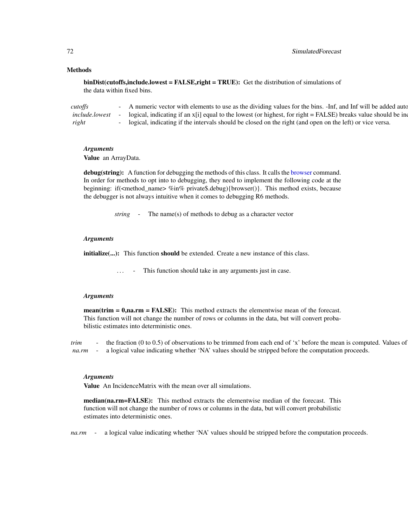# Methods

binDist(cutoffs,include.lowest = FALSE,right = TRUE): Get the distribution of simulations of the data within fixed bins.

| cutoffs               | - A numeric vector with elements to use as the dividing values for the bins. -Inf, and Inf will be added auto  |
|-----------------------|----------------------------------------------------------------------------------------------------------------|
| <i>include.lowest</i> | logical, indicating if an $x[i]$ equal to the lowest (or highest, for right = FALSE) breaks value should be in |
| right                 | logical, indicating if the intervals should be closed on the right (and open on the left) or vice versa.       |

#### *Arguments*

Value an ArrayData.

debug(string): A function for debugging the methods of this class. It calls the [browser](#page-0-0) command. In order for methods to opt into to debugging, they need to implement the following code at the beginning: if(<method\_name> %in% private\$.debug){browser()}. This method exists, because the debugger is not always intuitive when it comes to debugging R6 methods.

*string* - The name(s) of methods to debug as a character vector

## *Arguments*

initialize(...): This function should be extended. Create a new instance of this class.

*. . .* - This function should take in any arguments just in case.

## *Arguments*

 $mean(trim = 0, na.rm = FALSE)$ : This method extracts the elementwise mean of the forecast. This function will not change the number of rows or columns in the data, but will convert probabilistic estimates into deterministic ones.

*trim* - the fraction (0 to 0.5) of observations to be trimmed from each end of 'x' before the mean is computed. Values of *na.rm* - a logical value indicating whether 'NA' values should be stripped before the computation proceeds.

# *Arguments*

Value An IncidenceMatrix with the mean over all simulations.

median(na.rm=FALSE): This method extracts the elementwise median of the forecast. This function will not change the number of rows or columns in the data, but will convert probabilistic estimates into deterministic ones.

*na.rm* - a logical value indicating whether 'NA' values should be stripped before the computation proceeds.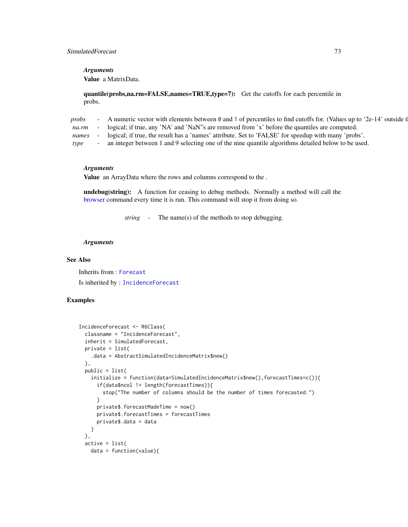## <span id="page-72-0"></span>SimulatedForecast 73

## *Arguments*

Value a MatrixData.

quantile(probs,na.rm=FALSE,names=TRUE,type=7): Get the cutoffs for each percentile in probs.

| probs | A numeric vector with elements between 0 and 1 of percentiles to find cutoffs for. (Values up to '2e-14' outside t |
|-------|--------------------------------------------------------------------------------------------------------------------|
| na.rm | logical; if true, any 'NA' and 'NaN''s are removed from 'x' before the quantiles are computed.                     |
| names | logical; if true, the result has a 'names' attribute. Set to 'FALSE' for speedup with many 'probs'.                |
| type  | an integer between 1 and 9 selecting one of the nine quantile algorithms detailed below to be used.                |

## *Arguments*

Value an ArrayData where the rows and columns correspond to the .

undebug(string): A function for ceasing to debug methods. Normally a method will call the [browser](#page-0-0) command every time it is run. This command will stop it from doing so.

*string* - The name(s) of the methods to stop debugging.

## *Arguments*

# See Also

Inherits from : [Forecast](#page-45-0) Is inherited by : [IncidenceForecast](#page-49-0)

# Examples

```
IncidenceForecast <- R6Class(
 classname = "IncidenceForecast",
 inherit = SimulatedForecast,
 private = list(
    .data = AbstractSimulatedIncidenceMatrix$new()
 ),
 public = list(
    initialize = function(data=SimulatedIncidenceMatrix$new(),forecastTimes=c()){
     if(data$ncol != length(forecastTimes)){
       stop("The number of columns should be the number of times forecasted.")
     }
     private$.forecastMadeTime = now()
     private$.forecastTimes = forecastTimes
     private$.data = data
   }
 ),
 active = list(
   data = function(value){
```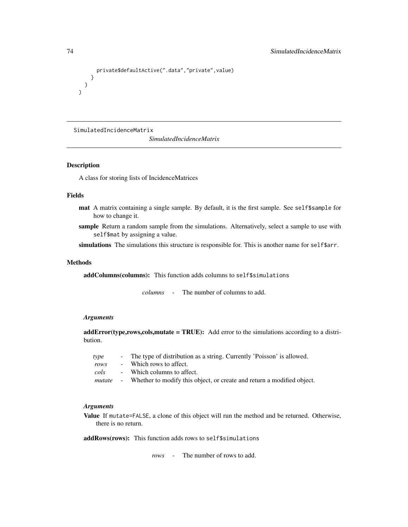```
private$defaultActive(".data","private",value)
    }
 )
\mathcal{L}
```
SimulatedIncidenceMatrix

*SimulatedIncidenceMatrix*

# Description

A class for storing lists of IncidenceMatrices

# Fields

- mat A matrix containing a single sample. By default, it is the first sample. See self\$sample for how to change it.
- sample Return a random sample from the simulations. Alternatively, select a sample to use with self\$mat by assigning a value.

simulations The simulations this structure is responsible for. This is another name for self\$arr.

# Methods

addColumns(columns): This function adds columns to self\$simulations

*columns* - The number of columns to add.

## *Arguments*

 $addError(type, rows, colspan: = TRUE):$  Add error to the simulations according to a distribution.

| type | - The type of distribution as a string. Currently 'Poisson' is allowed.                |
|------|----------------------------------------------------------------------------------------|
| rows | - Which rows to affect.                                                                |
| cols | - Which columns to affect.                                                             |
|      | <i>mutate</i> - Whether to modify this object, or create and return a modified object. |

## *Arguments*

Value If mutate=FALSE, a clone of this object will run the method and be returned. Otherwise, there is no return.

addRows(rows): This function adds rows to self\$simulations

*rows* - The number of rows to add.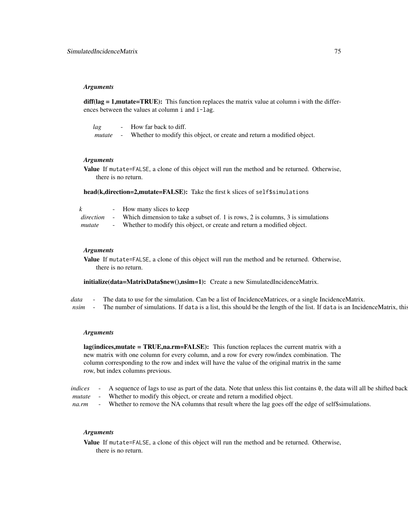#### *Arguments*

 $diff(lag = 1, mutate=TRUE)$ : This function replaces the matrix value at column i with the differences between the values at column i and i-lag.

| lag    |        | - How far back to diff.                                                |
|--------|--------|------------------------------------------------------------------------|
| mutate | $\sim$ | Whether to modify this object, or create and return a modified object. |

### *Arguments*

Value If mutate=FALSE, a clone of this object will run the method and be returned. Otherwise, there is no return.

head(k,direction=2,mutate=FALSE): Take the first k slices of self\$simulations

| k      |                  | - How many slices to keep                                                                         |
|--------|------------------|---------------------------------------------------------------------------------------------------|
|        |                  | <i>direction</i> - Which dimension to take a subset of. 1 is rows, 2 is columns, 3 is simulations |
| mutate | $\sim$ 100 $\mu$ | Whether to modify this object, or create and return a modified object.                            |

#### *Arguments*

Value If mutate=FALSE, a clone of this object will run the method and be returned. Otherwise, there is no return.

initialize(data=MatrixData\$new(),nsim=1): Create a new SimulatedIncidenceMatrix.

*data* - The data to use for the simulation. Can be a list of IncidenceMatrices, or a single IncidenceMatrix.

*nsim* - The number of simulations. If data is a list, this should be the length of the list. If data is an IncidenceMatrix, this

#### *Arguments*

lag(indices,mutate = TRUE,na.rm=FALSE): This function replaces the current matrix with a new matrix with one column for every column, and a row for every row/index combination. The column corresponding to the row and index will have the value of the original matrix in the same row, but index columns previous.

*indices* - A sequence of lags to use as part of the data. Note that unless this list contains 0, the data will all be shifted back

*mutate* - Whether to modify this object, or create and return a modified object.

*na.rm* - Whether to remove the NA columns that result where the lag goes off the edge of self\$simulations.

## *Arguments*

Value If mutate=FALSE, a clone of this object will run the method and be returned. Otherwise, there is no return.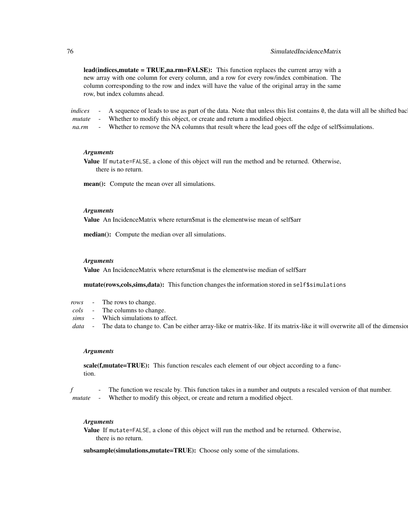lead(indices,mutate = TRUE,na.rm=FALSE): This function replaces the current array with a new array with one column for every column, and a row for every row/index combination. The column corresponding to the row and index will have the value of the original array in the same row, but index columns ahead.

*indices* - A sequence of leads to use as part of the data. Note that unless this list contains 0, the data will all be shifted bac *mutate* - Whether to modify this object, or create and return a modified object.

*na.rm* - Whether to remove the NA columns that result where the lead goes off the edge of self\$simulations.

#### *Arguments*

Value If mutate=FALSE, a clone of this object will run the method and be returned. Otherwise, there is no return.

mean(): Compute the mean over all simulations.

#### *Arguments*

Value An IncidenceMatrix where return\$mat is the elementwise mean of self\$arr

median(): Compute the median over all simulations.

#### *Arguments*

Value An IncidenceMatrix where return\$mat is the elementwise median of self\$arr

mutate(rows,cols,sims,data): This function changes the information stored in self\$simulations

- *rows* The rows to change.
- *cols* The columns to change.
- *sims* Which simulations to affect.
- *data* The data to change to. Can be either array-like or matrix-like. If its matrix-like it will overwrite all of the dimensio

#### *Arguments*

scale(f,mutate=TRUE): This function rescales each element of our object according to a function.

*f* - The function we rescale by. This function takes in a number and outputs a rescaled version of that number.

*mutate* - Whether to modify this object, or create and return a modified object.

#### *Arguments*

Value If mutate=FALSE, a clone of this object will run the method and be returned. Otherwise, there is no return.

subsample(simulations,mutate=TRUE): Choose only some of the simulations.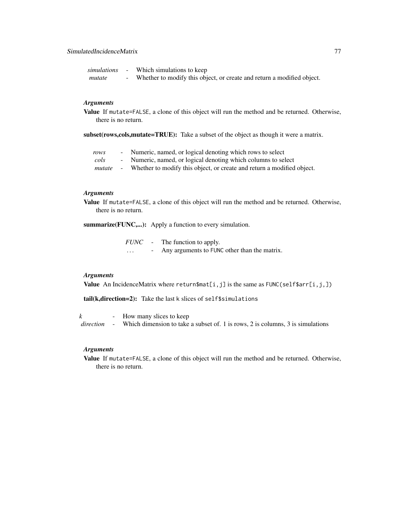## SimulatedIncidenceMatrix 77

| simulations - | Which simulations to keep                                              |
|---------------|------------------------------------------------------------------------|
| mutate        | Whether to modify this object, or create and return a modified object. |

# *Arguments*

Value If mutate=FALSE, a clone of this object will run the method and be returned. Otherwise, there is no return.

subset(rows,cols,mutate=TRUE): Take a subset of the object as though it were a matrix.

| Numeric, named, or logical denoting which rows to select<br>rows |  |
|------------------------------------------------------------------|--|
|------------------------------------------------------------------|--|

- *cols* Numeric, named, or logical denoting which columns to select
- *mutate* Whether to modify this object, or create and return a modified object.

#### *Arguments*

Value If mutate=FALSE, a clone of this object will run the method and be returned. Otherwise, there is no return.

summarize(FUNC,...): Apply a function to every simulation.

*FUNC* - The function to apply. *. . .* - Any arguments to FUNC other than the matrix.

# *Arguments*

Value An IncidenceMatrix where return \$mat[i,j] is the same as  $FUNC(self\$ f[i,j,])

tail(k,direction=2): Take the last k slices of self\$simulations

*k* - How many slices to keep *direction* - Which dimension to take a subset of. 1 is rows, 2 is columns, 3 is simulations

## *Arguments*

Value If mutate=FALSE, a clone of this object will run the method and be returned. Otherwise, there is no return.